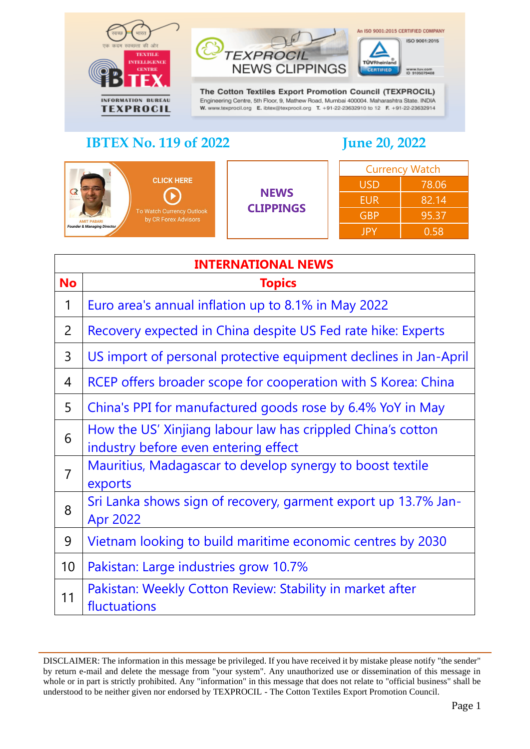

#### TEXPROC TÜVRheir **NEWS CLIPPINGS** CERTIFIED www.buv.com<br>ID 9105079408

The Cotton Textiles Export Promotion Council (TEXPROCIL) Engineering Centre, 5th Floor, 9, Mathew Road, Mumbai 400004. Maharashtra State. INDIA W. www.texprocil.org E. ibtex@texprocil.org T. +91-22-23632910 to 12 F. +91-22-23632914

#### **IBTEX No. 119 of 2022 June 20, 2022**

An ISO 9001:2015 CERTIFIED COMPANY

ISO 9001:2015

| <b>CLICK HERE</b><br><b>CREI ROLLY</b><br>To Watch Currency Outlook<br>by CR Forex Advisors<br><b>AMIT PABARL</b><br><b>Founder &amp; Managing Director</b> | <b>NEWS</b><br><b>CLIPPINGS</b> | <b>Currency Watch</b> |       |
|-------------------------------------------------------------------------------------------------------------------------------------------------------------|---------------------------------|-----------------------|-------|
|                                                                                                                                                             |                                 | <b>USD</b>            | 78.06 |
|                                                                                                                                                             |                                 | <b>EUR</b>            | 82.14 |
|                                                                                                                                                             |                                 | <b>GBP</b>            | 95.37 |
|                                                                                                                                                             |                                 | JPY                   | 0.58  |

<span id="page-0-0"></span>

|                 | <b>INTERNATIONAL NEWS</b>                                                                           |  |  |
|-----------------|-----------------------------------------------------------------------------------------------------|--|--|
| <b>No</b>       | <b>Topics</b>                                                                                       |  |  |
| 1               | Euro area's annual inflation up to 8.1% in May 2022                                                 |  |  |
| 2               | Recovery expected in China despite US Fed rate hike: Experts                                        |  |  |
| 3               | US import of personal protective equipment declines in Jan-April                                    |  |  |
| 4               | RCEP offers broader scope for cooperation with S Korea: China                                       |  |  |
| 5               | China's PPI for manufactured goods rose by 6.4% YoY in May                                          |  |  |
| 6               | How the US' Xinjiang labour law has crippled China's cotton<br>industry before even entering effect |  |  |
| $\overline{7}$  | Mauritius, Madagascar to develop synergy to boost textile<br>exports                                |  |  |
| 8               | Sri Lanka shows sign of recovery, garment export up 13.7% Jan-<br><b>Apr 2022</b>                   |  |  |
| 9               | Vietnam looking to build maritime economic centres by 2030                                          |  |  |
| 10 <sup>1</sup> | Pakistan: Large industries grow 10.7%                                                               |  |  |
| 11              | Pakistan: Weekly Cotton Review: Stability in market after<br>fluctuations                           |  |  |

DISCLAIMER: The information in this message be privileged. If you have received it by mistake please notify "the sender" by return e-mail and delete the message from "your system". Any unauthorized use or dissemination of this message in whole or in part is strictly prohibited. Any "information" in this message that does not relate to "official business" shall be understood to be neither given nor endorsed by TEXPROCIL - The Cotton Textiles Export Promotion Council.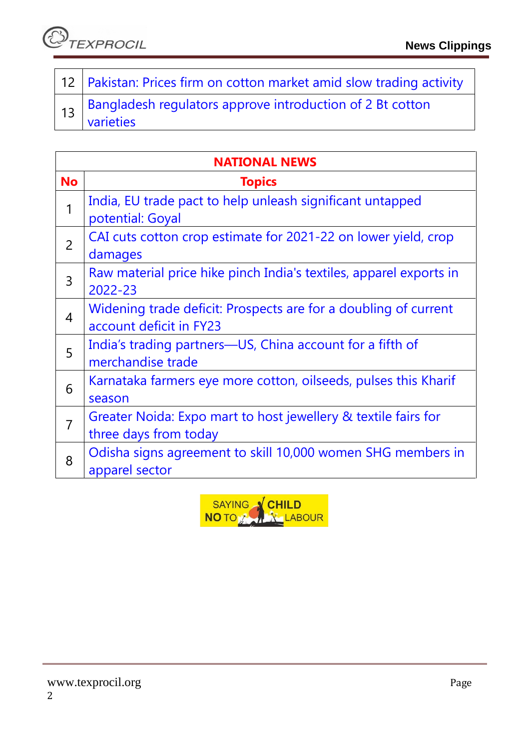| 12   Pakistan: Prices firm on cotton market amid slow trading activity    |
|---------------------------------------------------------------------------|
| 13 Bangladesh regulators approve introduction of 2 Bt cotton<br>varieties |

| <b>NATIONAL NEWS</b> |                                                                                            |  |
|----------------------|--------------------------------------------------------------------------------------------|--|
| <b>No</b>            | <b>Topics</b>                                                                              |  |
| 1                    | India, EU trade pact to help unleash significant untapped<br>potential: Goyal              |  |
| $\overline{2}$       | CAI cuts cotton crop estimate for 2021-22 on lower yield, crop<br>damages                  |  |
| 3                    | Raw material price hike pinch India's textiles, apparel exports in<br>2022-23              |  |
| $\overline{4}$       | Widening trade deficit: Prospects are for a doubling of current<br>account deficit in FY23 |  |
| 5                    | India's trading partners—US, China account for a fifth of<br>merchandise trade             |  |
| 6                    | Karnataka farmers eye more cotton, oilseeds, pulses this Kharif<br>season                  |  |
| $\overline{7}$       | Greater Noida: Expo mart to host jewellery & textile fairs for<br>three days from today    |  |
| 8                    | Odisha signs agreement to skill 10,000 women SHG members in<br>apparel sector              |  |

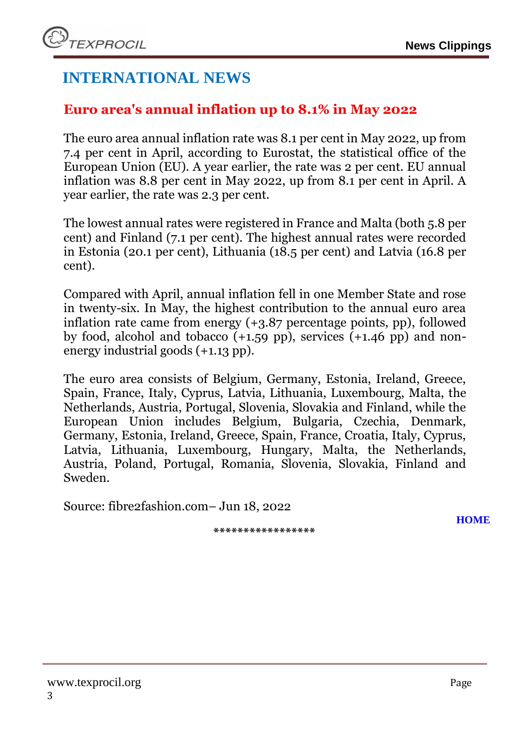# **INTERNATIONAL NEWS**

#### <span id="page-2-0"></span>**Euro area's annual inflation up to 8.1% in May 2022**

The euro area annual inflation rate was 8.1 per cent in May 2022, up from 7.4 per cent in April, according to Eurostat, the statistical office of the European Union (EU). A year earlier, the rate was 2 per cent. EU annual inflation was 8.8 per cent in May 2022, up from 8.1 per cent in April. A year earlier, the rate was 2.3 per cent.

The lowest annual rates were registered in France and Malta (both 5.8 per cent) and Finland (7.1 per cent). The highest annual rates were recorded in Estonia (20.1 per cent), Lithuania (18.5 per cent) and Latvia (16.8 per cent).

Compared with April, annual inflation fell in one Member State and rose in twenty-six. In May, the highest contribution to the annual euro area inflation rate came from energy (+3.87 percentage points, pp), followed by food, alcohol and tobacco (+1.59 pp), services (+1.46 pp) and nonenergy industrial goods (+1.13 pp).

The euro area consists of Belgium, Germany, Estonia, Ireland, Greece, Spain, France, Italy, Cyprus, Latvia, Lithuania, Luxembourg, Malta, the Netherlands, Austria, Portugal, Slovenia, Slovakia and Finland, while the European Union includes Belgium, Bulgaria, Czechia, Denmark, Germany, Estonia, Ireland, Greece, Spain, France, Croatia, Italy, Cyprus, Latvia, Lithuania, Luxembourg, Hungary, Malta, the Netherlands, Austria, Poland, Portugal, Romania, Slovenia, Slovakia, Finland and Sweden.

Source: fibre2fashion.com– Jun 18, 2022

**\*\*\*\*\*\*\*\*\*\*\*\*\*\*\*\*\***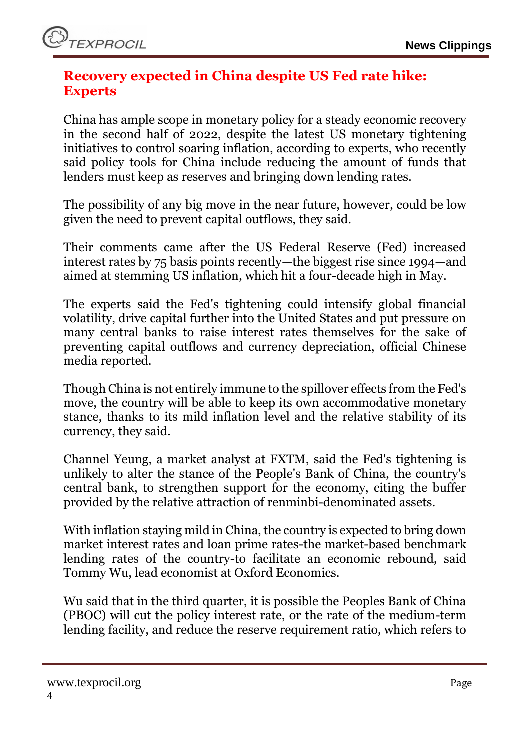#### <span id="page-3-0"></span>**Recovery expected in China despite US Fed rate hike: Experts**

China has ample scope in monetary policy for a steady economic recovery in the second half of 2022, despite the latest US monetary tightening initiatives to control soaring inflation, according to experts, who recently said policy tools for China include reducing the amount of funds that lenders must keep as reserves and bringing down lending rates.

The possibility of any big move in the near future, however, could be low given the need to prevent capital outflows, they said.

Their comments came after the US Federal Reserve (Fed) increased interest rates by 75 basis points recently—the biggest rise since 1994—and aimed at stemming US inflation, which hit a four-decade high in May.

The experts said the Fed's tightening could intensify global financial volatility, drive capital further into the United States and put pressure on many central banks to raise interest rates themselves for the sake of preventing capital outflows and currency depreciation, official Chinese media reported.

Though China is not entirely immune to the spillover effects from the Fed's move, the country will be able to keep its own accommodative monetary stance, thanks to its mild inflation level and the relative stability of its currency, they said.

Channel Yeung, a market analyst at FXTM, said the Fed's tightening is unlikely to alter the stance of the People's Bank of China, the country's central bank, to strengthen support for the economy, citing the buffer provided by the relative attraction of renminbi-denominated assets.

With inflation staying mild in China, the country is expected to bring down market interest rates and loan prime rates-the market-based benchmark lending rates of the country-to facilitate an economic rebound, said Tommy Wu, lead economist at Oxford Economics.

Wu said that in the third quarter, it is possible the Peoples Bank of China (PBOC) will cut the policy interest rate, or the rate of the medium-term lending facility, and reduce the reserve requirement ratio, which refers to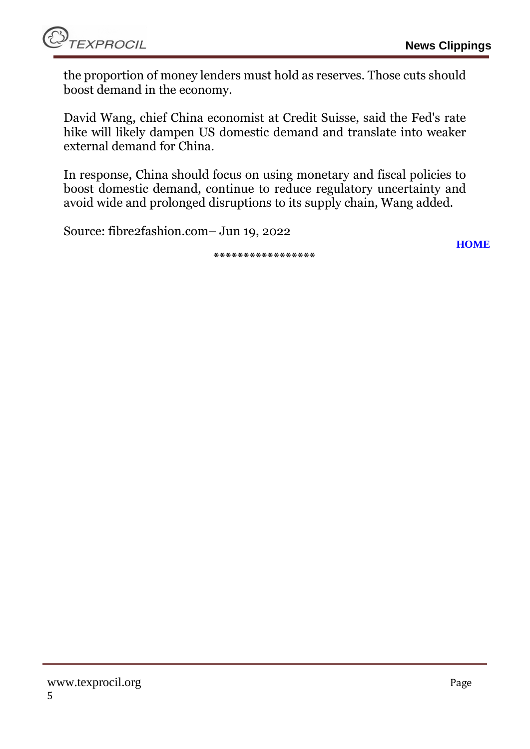**[HOME](#page-0-0)**

the proportion of money lenders must hold as reserves. Those cuts should boost demand in the economy.

David Wang, chief China economist at Credit Suisse, said the Fed's rate hike will likely dampen US domestic demand and translate into weaker external demand for China.

In response, China should focus on using monetary and fiscal policies to boost domestic demand, continue to reduce regulatory uncertainty and avoid wide and prolonged disruptions to its supply chain, Wang added.

Source: fibre2fashion.com– Jun 19, 2022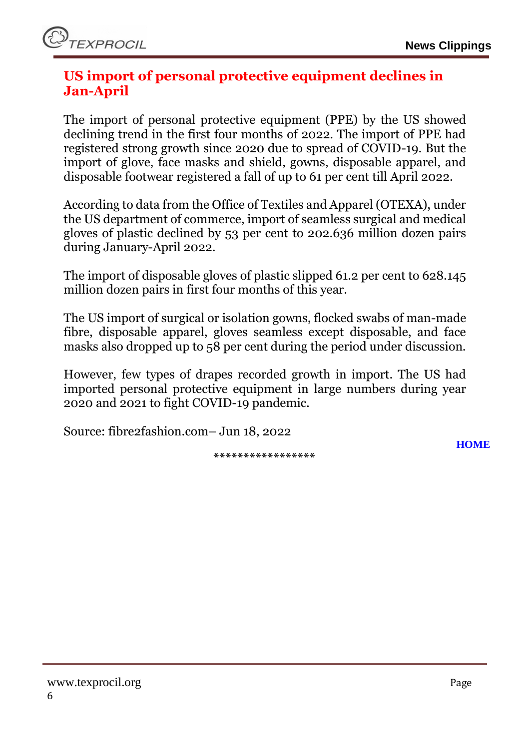#### <span id="page-5-0"></span>**US import of personal protective equipment declines in Jan-April**

The import of personal protective equipment (PPE) by the US showed declining trend in the first four months of 2022. The import of PPE had registered strong growth since 2020 due to spread of COVID-19. But the import of glove, face masks and shield, gowns, disposable apparel, and disposable footwear registered a fall of up to 61 per cent till April 2022.

According to data from the Office of Textiles and Apparel (OTEXA), under the US department of commerce, import of seamless surgical and medical gloves of plastic declined by 53 per cent to 202.636 million dozen pairs during January-April 2022.

The import of disposable gloves of plastic slipped 61.2 per cent to 628.145 million dozen pairs in first four months of this year.

The US import of surgical or isolation gowns, flocked swabs of man-made fibre, disposable apparel, gloves seamless except disposable, and face masks also dropped up to 58 per cent during the period under discussion.

However, few types of drapes recorded growth in import. The US had imported personal protective equipment in large numbers during year 2020 and 2021 to fight COVID-19 pandemic.

Source: fibre2fashion.com– Jun 18, 2022

**[HOME](#page-0-0)**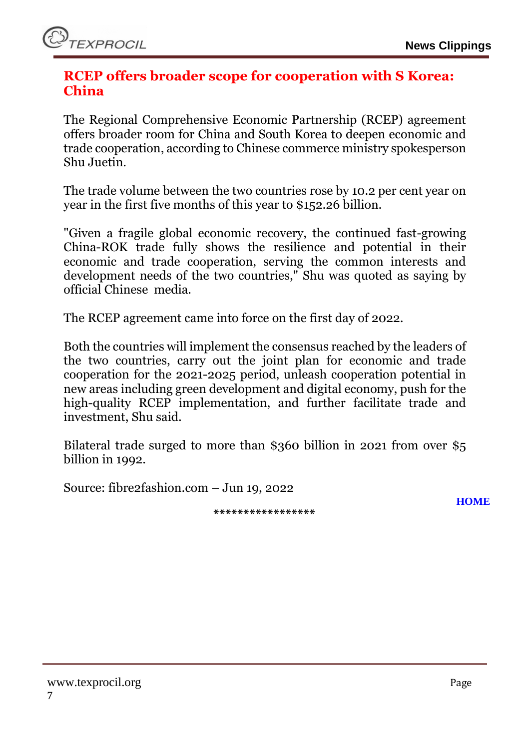#### <span id="page-6-0"></span>**RCEP offers broader scope for cooperation with S Korea: China**

The Regional Comprehensive Economic Partnership (RCEP) agreement offers broader room for China and South Korea to deepen economic and trade cooperation, according to Chinese commerce ministry spokesperson Shu Juetin.

The trade volume between the two countries rose by 10.2 per cent year on year in the first five months of this year to \$152.26 billion.

"Given a fragile global economic recovery, the continued fast-growing China-ROK trade fully shows the resilience and potential in their economic and trade cooperation, serving the common interests and development needs of the two countries," Shu was quoted as saying by official Chinese media.

The RCEP agreement came into force on the first day of 2022.

Both the countries will implement the consensus reached by the leaders of the two countries, carry out the joint plan for economic and trade cooperation for the 2021-2025 period, unleash cooperation potential in new areas including green development and digital economy, push for the high-quality RCEP implementation, and further facilitate trade and investment, Shu said.

Bilateral trade surged to more than \$360 billion in 2021 from over \$5 billion in 1992.

Source: fibre2fashion.com – Jun 19, 2022

**\*\*\*\*\*\*\*\*\*\*\*\*\*\*\*\*\***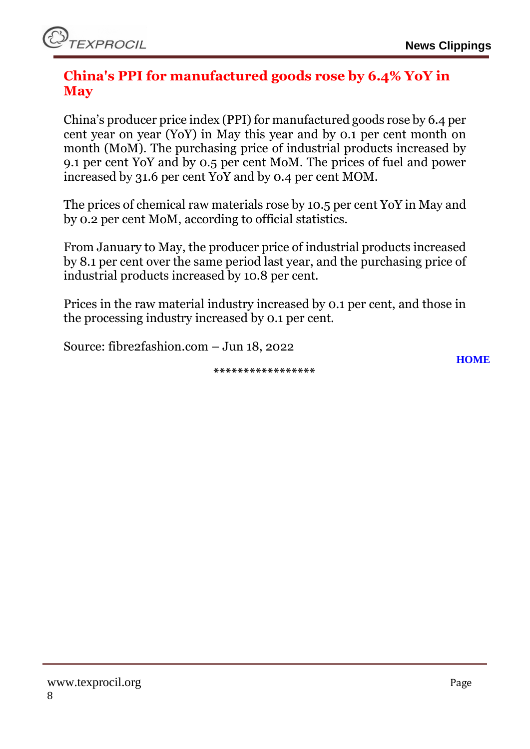### <span id="page-7-0"></span>**China's PPI for manufactured goods rose by 6.4% YoY in May**

China's producer price index (PPI) for manufactured goods rose by 6.4 per cent year on year (YoY) in May this year and by 0.1 per cent month on month (MoM). The purchasing price of industrial products increased by 9.1 per cent YoY and by 0.5 per cent MoM. The prices of fuel and power increased by 31.6 per cent YoY and by 0.4 per cent MOM.

The prices of chemical raw materials rose by 10.5 per cent YoY in May and by 0.2 per cent MoM, according to official statistics.

From January to May, the producer price of industrial products increased by 8.1 per cent over the same period last year, and the purchasing price of industrial products increased by 10.8 per cent.

Prices in the raw material industry increased by 0.1 per cent, and those in the processing industry increased by 0.1 per cent.

Source: fibre2fashion.com – Jun 18, 2022

**\*\*\*\*\*\*\*\*\*\*\*\*\*\*\*\*\***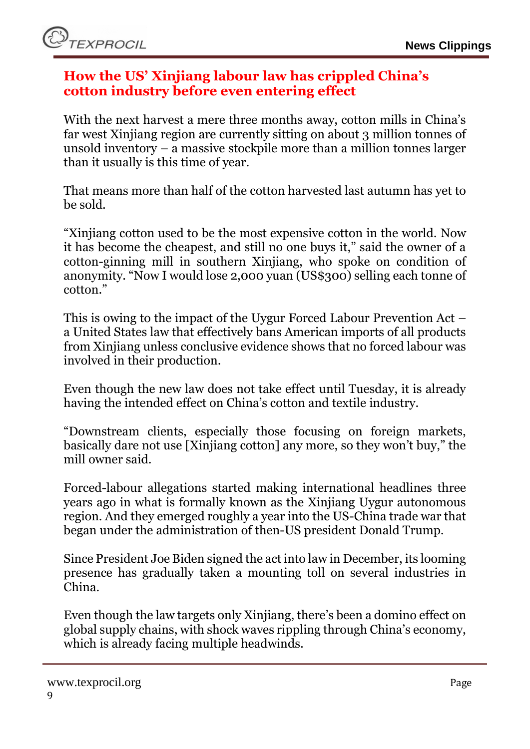#### <span id="page-8-0"></span>**How the US' Xinjiang labour law has crippled China's cotton industry before even entering effect**

With the next harvest a mere three months away, cotton mills in China's far west Xinjiang region are currently sitting on about 3 million tonnes of unsold inventory – a massive stockpile more than a million tonnes larger than it usually is this time of year.

That means more than half of the cotton harvested last autumn has yet to be sold.

"Xinjiang cotton used to be the most expensive cotton in the world. Now it has become the cheapest, and still no one buys it," said the owner of a cotton-ginning mill in southern Xinjiang, who spoke on condition of anonymity. "Now I would lose 2,000 yuan (US\$300) selling each tonne of cotton."

This is owing to the impact of the Uygur Forced Labour Prevention Act – a United States law that effectively bans American imports of all products from Xinjiang unless conclusive evidence shows that no forced labour was involved in their production.

Even though the new law does not take effect until Tuesday, it is already having the intended effect on China's cotton and textile industry.

"Downstream clients, especially those focusing on foreign markets, basically dare not use [Xinjiang cotton] any more, so they won't buy," the mill owner said.

Forced-labour allegations started making international headlines three years ago in what is formally known as the Xinjiang Uygur autonomous region. And they emerged roughly a year into the US-China trade war that began under the administration of then-US president Donald Trump.

Since President Joe Biden signed the act into law in December, its looming presence has gradually taken a mounting toll on several industries in China.

Even though the law targets only Xinjiang, there's been a domino effect on global supply chains, with shock waves rippling through China's economy, which is already facing multiple headwinds.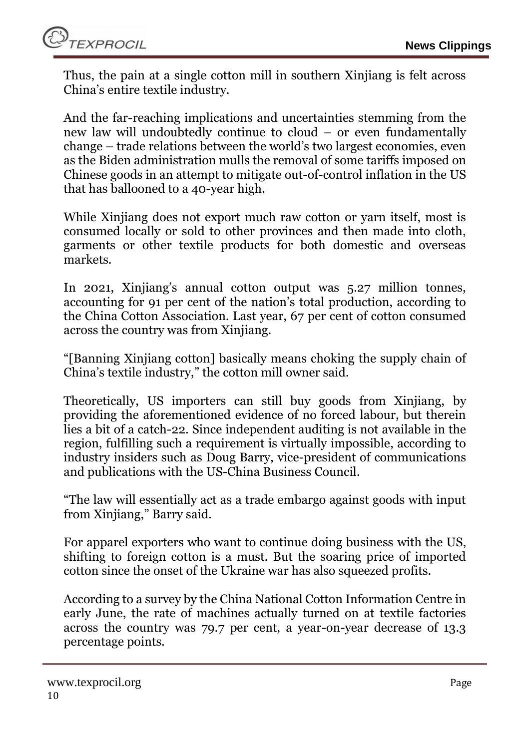Thus, the pain at a single cotton mill in southern Xinjiang is felt across China's entire textile industry.

And the far-reaching implications and uncertainties stemming from the new law will undoubtedly continue to cloud – or even fundamentally change – trade relations between the world's two largest economies, even as the Biden administration mulls the removal of some tariffs imposed on Chinese goods in an attempt to mitigate out-of-control inflation in the US that has ballooned to a 40-year high.

While Xinjiang does not export much raw cotton or yarn itself, most is consumed locally or sold to other provinces and then made into cloth, garments or other textile products for both domestic and overseas markets.

In 2021, Xinjiang's annual cotton output was 5.27 million tonnes, accounting for 91 per cent of the nation's total production, according to the China Cotton Association. Last year, 67 per cent of cotton consumed across the country was from Xinjiang.

"[Banning Xinjiang cotton] basically means choking the supply chain of China's textile industry," the cotton mill owner said.

Theoretically, US importers can still buy goods from Xinjiang, by providing the aforementioned evidence of no forced labour, but therein lies a bit of a catch-22. Since independent auditing is not available in the region, fulfilling such a requirement is virtually impossible, according to industry insiders such as Doug Barry, vice-president of communications and publications with the US-China Business Council.

"The law will essentially act as a trade embargo against goods with input from Xinjiang," Barry said.

For apparel exporters who want to continue doing business with the US, shifting to foreign cotton is a must. But the soaring price of imported cotton since the onset of the Ukraine war has also squeezed profits.

According to a survey by the China National Cotton Information Centre in early June, the rate of machines actually turned on at textile factories across the country was 79.7 per cent, a year-on-year decrease of 13.3 percentage points.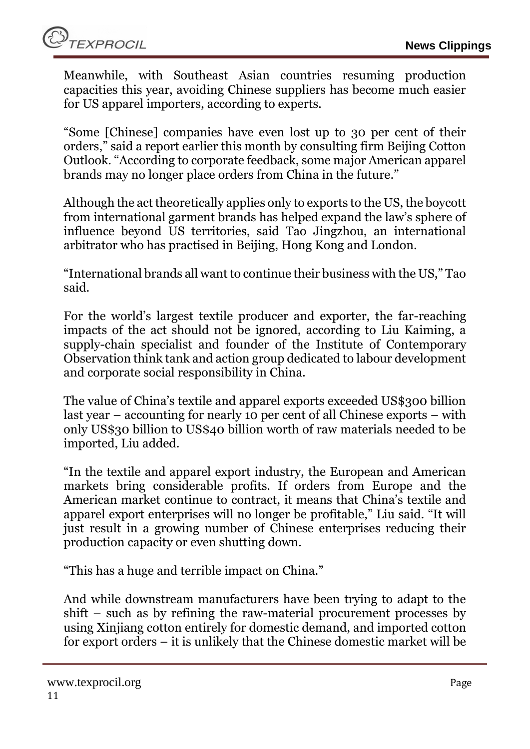

Meanwhile, with Southeast Asian countries resuming production capacities this year, avoiding Chinese suppliers has become much easier for US apparel importers, according to experts.

"Some [Chinese] companies have even lost up to 30 per cent of their orders," said a report earlier this month by consulting firm Beijing Cotton Outlook. "According to corporate feedback, some major American apparel brands may no longer place orders from China in the future."

Although the act theoretically applies only to exports to the US, the boycott from international garment brands has helped expand the law's sphere of influence beyond US territories, said Tao Jingzhou, an international arbitrator who has practised in Beijing, Hong Kong and London.

"International brands all want to continue their business with the US," Tao said.

For the world's largest textile producer and exporter, the far-reaching impacts of the act should not be ignored, according to Liu Kaiming, a supply-chain specialist and founder of the Institute of Contemporary Observation think tank and action group dedicated to labour development and corporate social responsibility in China.

The value of China's textile and apparel exports exceeded US\$300 billion last year – accounting for nearly 10 per cent of all Chinese exports – with only US\$30 billion to US\$40 billion worth of raw materials needed to be imported, Liu added.

"In the textile and apparel export industry, the European and American markets bring considerable profits. If orders from Europe and the American market continue to contract, it means that China's textile and apparel export enterprises will no longer be profitable," Liu said. "It will just result in a growing number of Chinese enterprises reducing their production capacity or even shutting down.

"This has a huge and terrible impact on China."

And while downstream manufacturers have been trying to adapt to the shift – such as by refining the raw-material procurement processes by using Xinjiang cotton entirely for domestic demand, and imported cotton for export orders – it is unlikely that the Chinese domestic market will be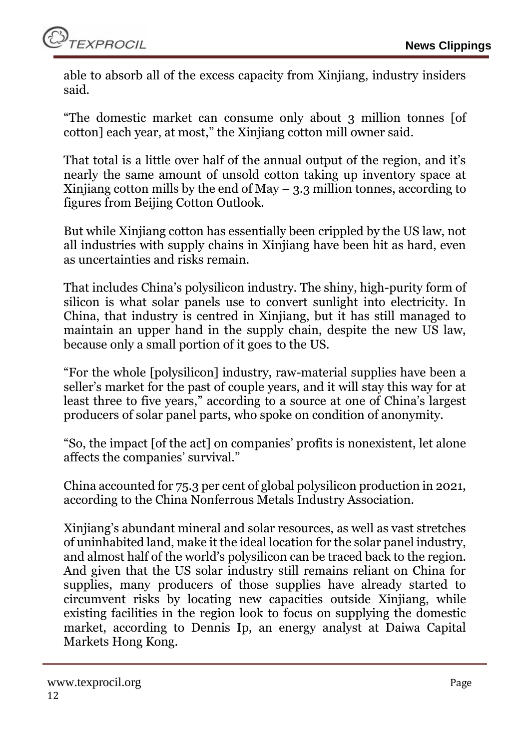able to absorb all of the excess capacity from Xinjiang, industry insiders said.

"The domestic market can consume only about 3 million tonnes [of cotton] each year, at most," the Xinjiang cotton mill owner said.

That total is a little over half of the annual output of the region, and it's nearly the same amount of unsold cotton taking up inventory space at Xinjiang cotton mills by the end of May  $-$  3.3 million tonnes, according to figures from Beijing Cotton Outlook.

But while Xinjiang cotton has essentially been crippled by the US law, not all industries with supply chains in Xinjiang have been hit as hard, even as uncertainties and risks remain.

That includes China's polysilicon industry. The shiny, high-purity form of silicon is what solar panels use to convert sunlight into electricity. In China, that industry is centred in Xinjiang, but it has still managed to maintain an upper hand in the supply chain, despite the new US law, because only a small portion of it goes to the US.

"For the whole [polysilicon] industry, raw-material supplies have been a seller's market for the past of couple years, and it will stay this way for at least three to five years," according to a source at one of China's largest producers of solar panel parts, who spoke on condition of anonymity.

"So, the impact [of the act] on companies' profits is nonexistent, let alone affects the companies' survival."

China accounted for 75.3 per cent of global polysilicon production in 2021, according to the China Nonferrous Metals Industry Association.

Xinjiang's abundant mineral and solar resources, as well as vast stretches of uninhabited land, make it the ideal location for the solar panel industry, and almost half of the world's polysilicon can be traced back to the region. And given that the US solar industry still remains reliant on China for supplies, many producers of those supplies have already started to circumvent risks by locating new capacities outside Xinjiang, while existing facilities in the region look to focus on supplying the domestic market, according to Dennis Ip, an energy analyst at Daiwa Capital Markets Hong Kong.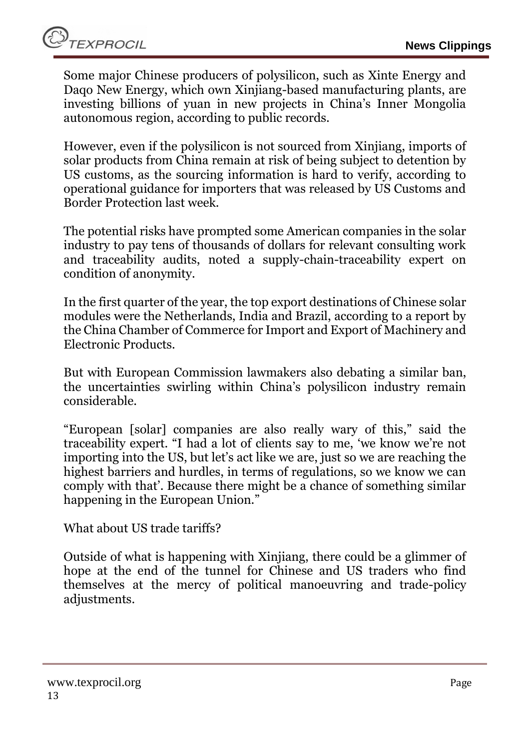Some major Chinese producers of polysilicon, such as Xinte Energy and Daqo New Energy, which own Xinjiang-based manufacturing plants, are investing billions of yuan in new projects in China's Inner Mongolia autonomous region, according to public records.

However, even if the polysilicon is not sourced from Xinjiang, imports of solar products from China remain at risk of being subject to detention by US customs, as the sourcing information is hard to verify, according to operational guidance for importers that was released by US Customs and Border Protection last week.

The potential risks have prompted some American companies in the solar industry to pay tens of thousands of dollars for relevant consulting work and traceability audits, noted a supply-chain-traceability expert on condition of anonymity.

In the first quarter of the year, the top export destinations of Chinese solar modules were the Netherlands, India and Brazil, according to a report by the China Chamber of Commerce for Import and Export of Machinery and Electronic Products.

But with European Commission lawmakers also debating a similar ban, the uncertainties swirling within China's polysilicon industry remain considerable.

"European [solar] companies are also really wary of this," said the traceability expert. "I had a lot of clients say to me, 'we know we're not importing into the US, but let's act like we are, just so we are reaching the highest barriers and hurdles, in terms of regulations, so we know we can comply with that'. Because there might be a chance of something similar happening in the European Union."

What about US trade tariffs?

Outside of what is happening with Xinjiang, there could be a glimmer of hope at the end of the tunnel for Chinese and US traders who find themselves at the mercy of political manoeuvring and trade-policy adjustments.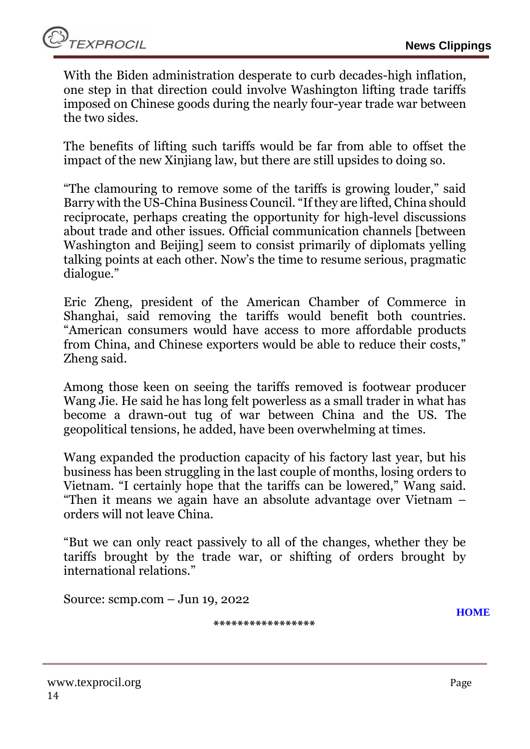With the Biden administration desperate to curb decades-high inflation, one step in that direction could involve Washington lifting trade tariffs imposed on Chinese goods during the nearly four-year trade war between the two sides.

The benefits of lifting such tariffs would be far from able to offset the impact of the new Xinjiang law, but there are still upsides to doing so.

"The clamouring to remove some of the tariffs is growing louder," said Barry with the US-China Business Council. "If they are lifted, China should reciprocate, perhaps creating the opportunity for high-level discussions about trade and other issues. Official communication channels [between Washington and Beijing] seem to consist primarily of diplomats yelling talking points at each other. Now's the time to resume serious, pragmatic dialogue."

Eric Zheng, president of the American Chamber of Commerce in Shanghai, said removing the tariffs would benefit both countries. "American consumers would have access to more affordable products from China, and Chinese exporters would be able to reduce their costs," Zheng said.

Among those keen on seeing the tariffs removed is footwear producer Wang Jie. He said he has long felt powerless as a small trader in what has become a drawn-out tug of war between China and the US. The geopolitical tensions, he added, have been overwhelming at times.

Wang expanded the production capacity of his factory last year, but his business has been struggling in the last couple of months, losing orders to Vietnam. "I certainly hope that the tariffs can be lowered," Wang said. "Then it means we again have an absolute advantage over Vietnam – orders will not leave China.

"But we can only react passively to all of the changes, whether they be tariffs brought by the trade war, or shifting of orders brought by international relations."

Source: scmp.com – Jun 19, 2022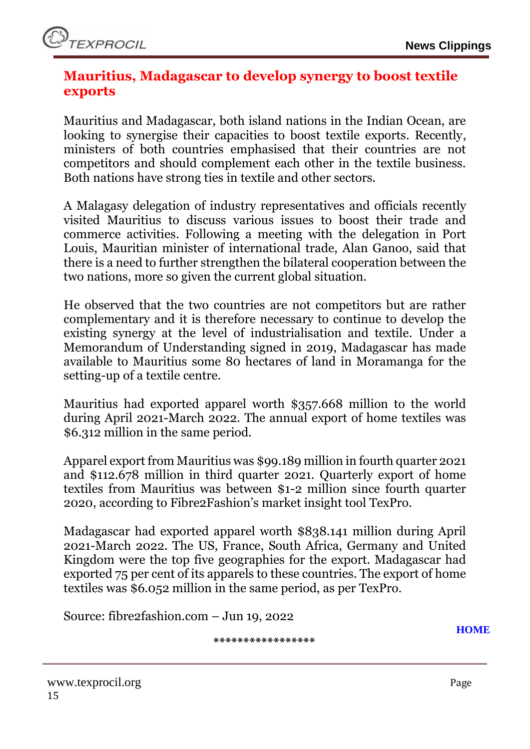#### <span id="page-14-0"></span>**Mauritius, Madagascar to develop synergy to boost textile exports**

Mauritius and Madagascar, both island nations in the Indian Ocean, are looking to synergise their capacities to boost textile exports. Recently, ministers of both countries emphasised that their countries are not competitors and should complement each other in the textile business. Both nations have strong ties in textile and other sectors.

A Malagasy delegation of industry representatives and officials recently visited Mauritius to discuss various issues to boost their trade and commerce activities. Following a meeting with the delegation in Port Louis, Mauritian minister of international trade, Alan Ganoo, said that there is a need to further strengthen the bilateral cooperation between the two nations, more so given the current global situation.

He observed that the two countries are not competitors but are rather complementary and it is therefore necessary to continue to develop the existing synergy at the level of industrialisation and textile. Under a Memorandum of Understanding signed in 2019, Madagascar has made available to Mauritius some 80 hectares of land in Moramanga for the setting-up of a textile centre.

Mauritius had exported apparel worth \$357.668 million to the world during April 2021-March 2022. The annual export of home textiles was \$6.312 million in the same period.

Apparel export from Mauritius was \$99.189 million in fourth quarter 2021 and \$112.678 million in third quarter 2021. Quarterly export of home textiles from Mauritius was between \$1-2 million since fourth quarter 2020, according to Fibre2Fashion's market insight tool TexPro.

Madagascar had exported apparel worth \$838.141 million during April 2021-March 2022. The US, France, South Africa, Germany and United Kingdom were the top five geographies for the export. Madagascar had exported 75 per cent of its apparels to these countries. The export of home textiles was \$6.052 million in the same period, as per TexPro.

Source: fibre2fashion.com – Jun 19, 2022

**\*\*\*\*\*\*\*\*\*\*\*\*\*\*\*\*\***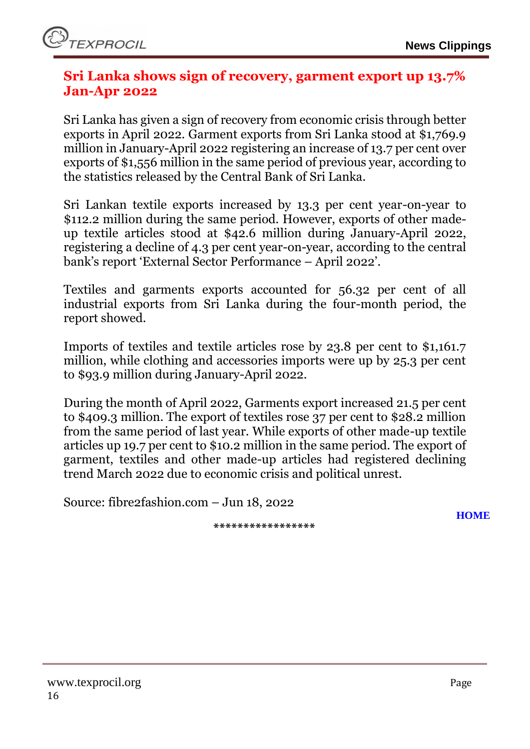#### <span id="page-15-0"></span>**Sri Lanka shows sign of recovery, garment export up 13.7% Jan-Apr 2022**

Sri Lanka has given a sign of recovery from economic crisis through better exports in April 2022. Garment exports from Sri Lanka stood at \$1,769.9 million in January-April 2022 registering an increase of 13.7 per cent over exports of \$1,556 million in the same period of previous year, according to the statistics released by the Central Bank of Sri Lanka.

Sri Lankan textile exports increased by 13.3 per cent year-on-year to \$112.2 million during the same period. However, exports of other madeup textile articles stood at \$42.6 million during January-April 2022, registering a decline of 4.3 per cent year-on-year, according to the central bank's report 'External Sector Performance – April 2022'.

Textiles and garments exports accounted for 56.32 per cent of all industrial exports from Sri Lanka during the four-month period, the report showed.

Imports of textiles and textile articles rose by 23.8 per cent to \$1,161.7 million, while clothing and accessories imports were up by 25.3 per cent to \$93.9 million during January-April 2022.

During the month of April 2022, Garments export increased 21.5 per cent to \$409.3 million. The export of textiles rose 37 per cent to \$28.2 million from the same period of last year. While exports of other made-up textile articles up 19.7 per cent to \$10.2 million in the same period. The export of garment, textiles and other made-up articles had registered declining trend March 2022 due to economic crisis and political unrest.

Source: fibre2fashion.com – Jun 18, 2022

**\*\*\*\*\*\*\*\*\*\*\*\*\*\*\*\*\***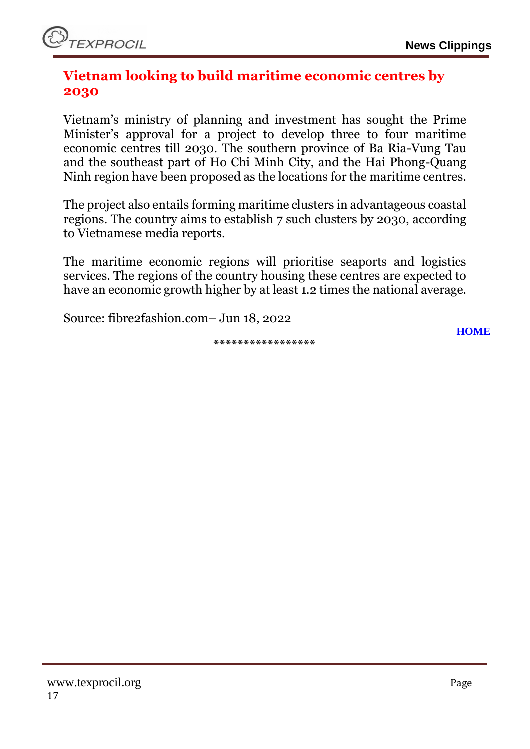### <span id="page-16-0"></span>**Vietnam looking to build maritime economic centres by 2030**

Vietnam's ministry of planning and investment has sought the Prime Minister's approval for a project to develop three to four maritime economic centres till 2030. The southern province of Ba Ria-Vung Tau and the southeast part of Ho Chi Minh City, and the Hai Phong-Quang Ninh region have been proposed as the locations for the maritime centres.

The project also entails forming maritime clusters in advantageous coastal regions. The country aims to establish 7 such clusters by 2030, according to Vietnamese media reports.

The maritime economic regions will prioritise seaports and logistics services. The regions of the country housing these centres are expected to have an economic growth higher by at least 1.2 times the national average.

Source: fibre2fashion.com– Jun 18, 2022

**[HOME](#page-0-0)**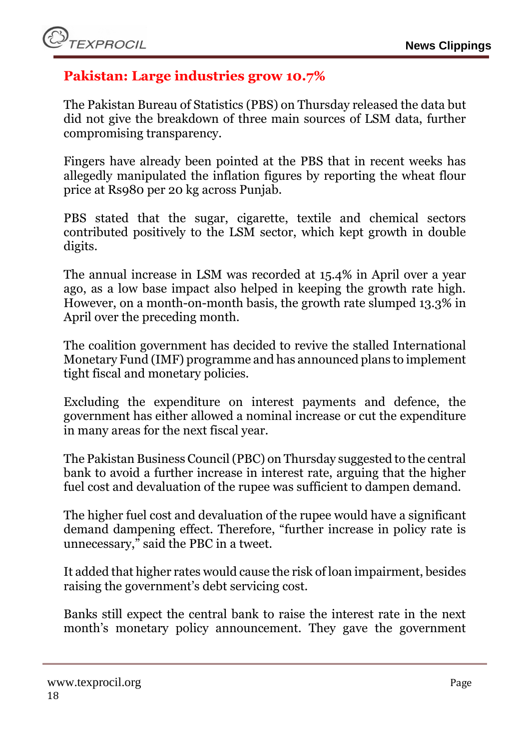## <span id="page-17-0"></span>**Pakistan: Large industries grow 10.7%**

The Pakistan Bureau of Statistics (PBS) on Thursday released the data but did not give the breakdown of three main sources of LSM data, further compromising transparency.

Fingers have already been pointed at the PBS that in recent weeks has allegedly manipulated the inflation figures by reporting the wheat flour price at Rs980 per 20 kg across Punjab.

PBS stated that the sugar, cigarette, textile and chemical sectors contributed positively to the LSM sector, which kept growth in double digits.

The annual increase in LSM was recorded at 15.4% in April over a year ago, as a low base impact also helped in keeping the growth rate high. However, on a month-on-month basis, the growth rate slumped 13.3% in April over the preceding month.

The coalition government has decided to revive the stalled International Monetary Fund (IMF) programme and has announced plans to implement tight fiscal and monetary policies.

Excluding the expenditure on interest payments and defence, the government has either allowed a nominal increase or cut the expenditure in many areas for the next fiscal year.

The Pakistan Business Council (PBC) on Thursday suggested to the central bank to avoid a further increase in interest rate, arguing that the higher fuel cost and devaluation of the rupee was sufficient to dampen demand.

The higher fuel cost and devaluation of the rupee would have a significant demand dampening effect. Therefore, "further increase in policy rate is unnecessary," said the PBC in a tweet.

It added that higher rates would cause the risk of loan impairment, besides raising the government's debt servicing cost.

Banks still expect the central bank to raise the interest rate in the next month's monetary policy announcement. They gave the government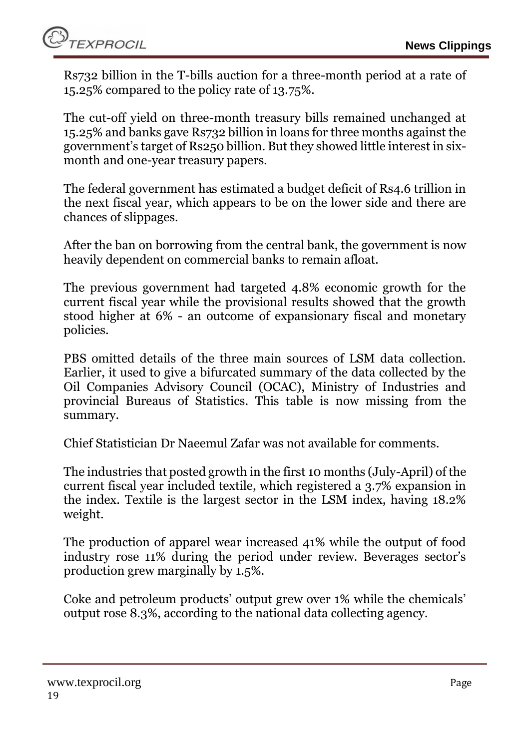Rs732 billion in the T-bills auction for a three-month period at a rate of 15.25% compared to the policy rate of 13.75%.

The cut-off yield on three-month treasury bills remained unchanged at 15.25% and banks gave Rs732 billion in loans for three months against the government's target of Rs250 billion. But they showed little interest in sixmonth and one-year treasury papers.

The federal government has estimated a budget deficit of Rs4.6 trillion in the next fiscal year, which appears to be on the lower side and there are chances of slippages.

After the ban on borrowing from the central bank, the government is now heavily dependent on commercial banks to remain afloat.

The previous government had targeted 4.8% economic growth for the current fiscal year while the provisional results showed that the growth stood higher at 6% - an outcome of expansionary fiscal and monetary policies.

PBS omitted details of the three main sources of LSM data collection. Earlier, it used to give a bifurcated summary of the data collected by the Oil Companies Advisory Council (OCAC), Ministry of Industries and provincial Bureaus of Statistics. This table is now missing from the summary.

Chief Statistician Dr Naeemul Zafar was not available for comments.

The industries that posted growth in the first 10 months (July-April) of the current fiscal year included textile, which registered a 3.7% expansion in the index. Textile is the largest sector in the LSM index, having 18.2% weight.

The production of apparel wear increased 41% while the output of food industry rose 11% during the period under review. Beverages sector's production grew marginally by 1.5%.

Coke and petroleum products' output grew over 1% while the chemicals' output rose 8.3%, according to the national data collecting agency.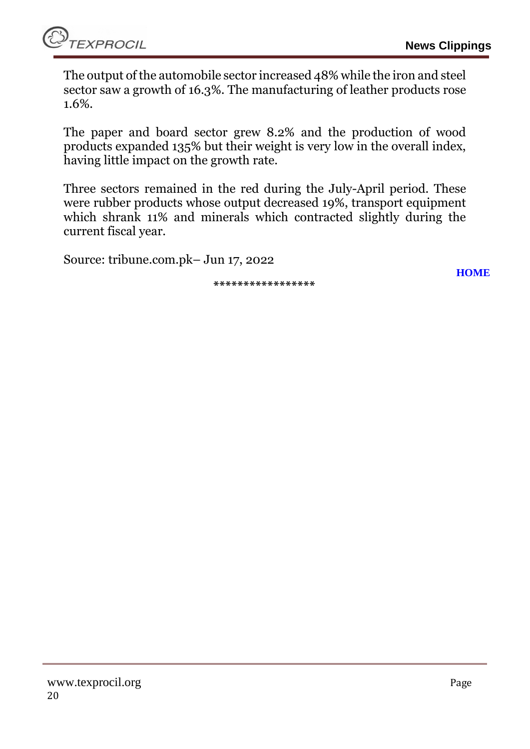**[HOME](#page-0-0)**

The output of the automobile sector increased 48% while the iron and steel sector saw a growth of 16.3%. The manufacturing of leather products rose 1.6%.

The paper and board sector grew 8.2% and the production of wood products expanded 135% but their weight is very low in the overall index, having little impact on the growth rate.

Three sectors remained in the red during the July-April period. These were rubber products whose output decreased 19%, transport equipment which shrank 11% and minerals which contracted slightly during the current fiscal year.

Source: tribune.com.pk– Jun 17, 2022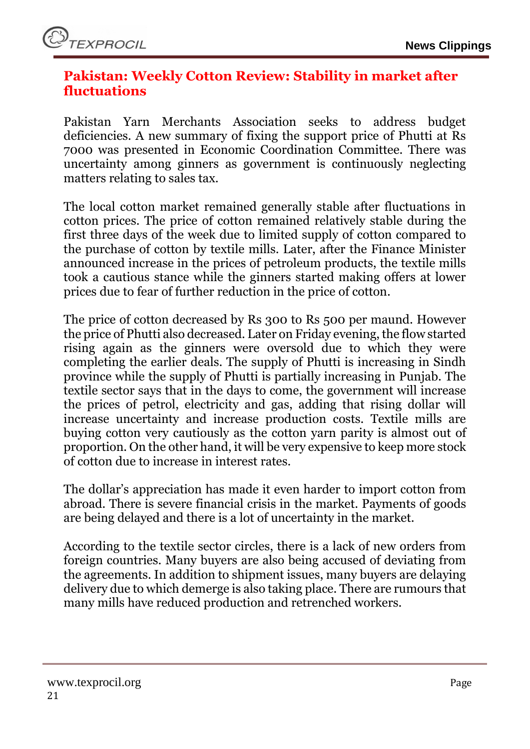#### <span id="page-20-0"></span>**Pakistan: Weekly Cotton Review: Stability in market after fluctuations**

Pakistan Yarn Merchants Association seeks to address budget deficiencies. A new summary of fixing the support price of Phutti at Rs 7000 was presented in Economic Coordination Committee. There was uncertainty among ginners as government is continuously neglecting matters relating to sales tax.

The local cotton market remained generally stable after fluctuations in cotton prices. The price of cotton remained relatively stable during the first three days of the week due to limited supply of cotton compared to the purchase of cotton by textile mills. Later, after the Finance Minister announced increase in the prices of petroleum products, the textile mills took a cautious stance while the ginners started making offers at lower prices due to fear of further reduction in the price of cotton.

The price of cotton decreased by Rs 300 to Rs 500 per maund. However the price of Phutti also decreased. Later on Friday evening, the flow started rising again as the ginners were oversold due to which they were completing the earlier deals. The supply of Phutti is increasing in Sindh province while the supply of Phutti is partially increasing in Punjab. The textile sector says that in the days to come, the government will increase the prices of petrol, electricity and gas, adding that rising dollar will increase uncertainty and increase production costs. Textile mills are buying cotton very cautiously as the cotton yarn parity is almost out of proportion. On the other hand, it will be very expensive to keep more stock of cotton due to increase in interest rates.

The dollar's appreciation has made it even harder to import cotton from abroad. There is severe financial crisis in the market. Payments of goods are being delayed and there is a lot of uncertainty in the market.

According to the textile sector circles, there is a lack of new orders from foreign countries. Many buyers are also being accused of deviating from the agreements. In addition to shipment issues, many buyers are delaying delivery due to which demerge is also taking place. There are rumours that many mills have reduced production and retrenched workers.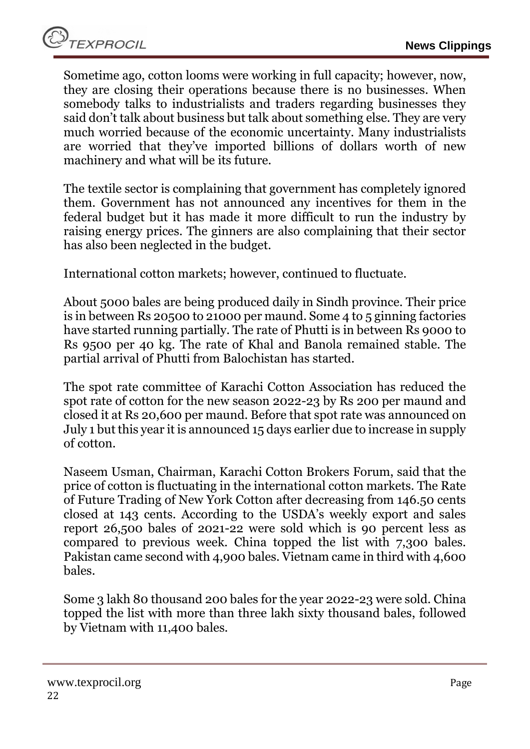Sometime ago, cotton looms were working in full capacity; however, now, they are closing their operations because there is no businesses. When somebody talks to industrialists and traders regarding businesses they said don't talk about business but talk about something else. They are very much worried because of the economic uncertainty. Many industrialists are worried that they've imported billions of dollars worth of new machinery and what will be its future.

The textile sector is complaining that government has completely ignored them. Government has not announced any incentives for them in the federal budget but it has made it more difficult to run the industry by raising energy prices. The ginners are also complaining that their sector has also been neglected in the budget.

International cotton markets; however, continued to fluctuate.

About 5000 bales are being produced daily in Sindh province. Their price is in between Rs 20500 to 21000 per maund. Some 4 to 5 ginning factories have started running partially. The rate of Phutti is in between Rs 9000 to Rs 9500 per 40 kg. The rate of Khal and Banola remained stable. The partial arrival of Phutti from Balochistan has started.

The spot rate committee of Karachi Cotton Association has reduced the spot rate of cotton for the new season 2022-23 by Rs 200 per maund and closed it at Rs 20,600 per maund. Before that spot rate was announced on July 1 but this year it is announced 15 days earlier due to increase in supply of cotton.

Naseem Usman, Chairman, Karachi Cotton Brokers Forum, said that the price of cotton is fluctuating in the international cotton markets. The Rate of Future Trading of New York Cotton after decreasing from 146.50 cents closed at 143 cents. According to the USDA's weekly export and sales report 26,500 bales of 2021-22 were sold which is 90 percent less as compared to previous week. China topped the list with 7,300 bales. Pakistan came second with 4,900 bales. Vietnam came in third with 4,600 bales.

Some 3 lakh 80 thousand 200 bales for the year 2022-23 were sold. China topped the list with more than three lakh sixty thousand bales, followed by Vietnam with 11,400 bales.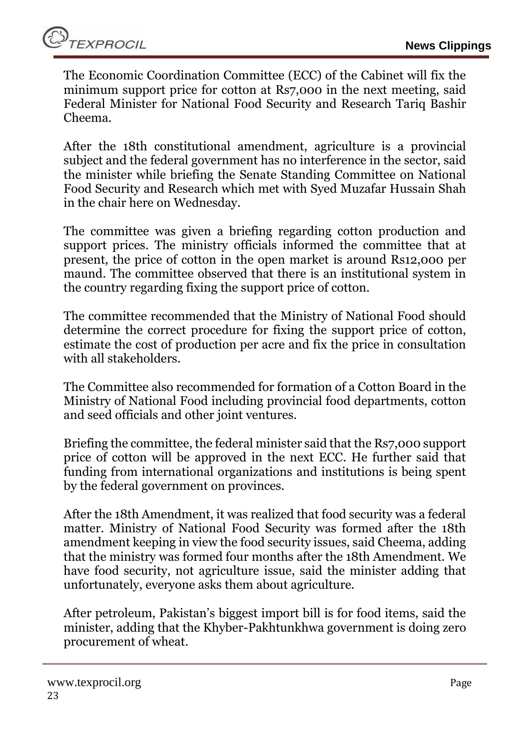The Economic Coordination Committee (ECC) of the Cabinet will fix the minimum support price for cotton at Rs7,000 in the next meeting, said Federal Minister for National Food Security and Research Tariq Bashir Cheema.

After the 18th constitutional amendment, agriculture is a provincial subject and the federal government has no interference in the sector, said the minister while briefing the Senate Standing Committee on National Food Security and Research which met with Syed Muzafar Hussain Shah in the chair here on Wednesday.

The committee was given a briefing regarding cotton production and support prices. The ministry officials informed the committee that at present, the price of cotton in the open market is around Rs12,000 per maund. The committee observed that there is an institutional system in the country regarding fixing the support price of cotton.

The committee recommended that the Ministry of National Food should determine the correct procedure for fixing the support price of cotton, estimate the cost of production per acre and fix the price in consultation with all stakeholders.

The Committee also recommended for formation of a Cotton Board in the Ministry of National Food including provincial food departments, cotton and seed officials and other joint ventures.

Briefing the committee, the federal minister said that the Rs7,000 support price of cotton will be approved in the next ECC. He further said that funding from international organizations and institutions is being spent by the federal government on provinces.

After the 18th Amendment, it was realized that food security was a federal matter. Ministry of National Food Security was formed after the 18th amendment keeping in view the food security issues, said Cheema, adding that the ministry was formed four months after the 18th Amendment. We have food security, not agriculture issue, said the minister adding that unfortunately, everyone asks them about agriculture.

After petroleum, Pakistan's biggest import bill is for food items, said the minister, adding that the Khyber-Pakhtunkhwa government is doing zero procurement of wheat.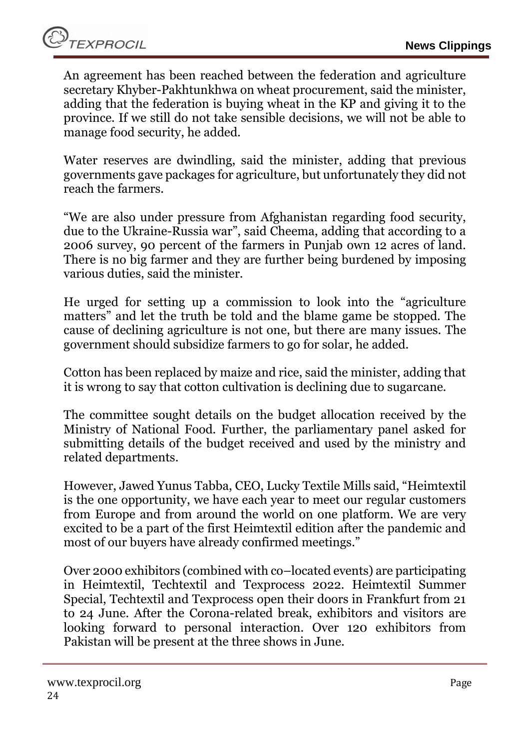An agreement has been reached between the federation and agriculture secretary Khyber-Pakhtunkhwa on wheat procurement, said the minister, adding that the federation is buying wheat in the KP and giving it to the province. If we still do not take sensible decisions, we will not be able to manage food security, he added.

Water reserves are dwindling, said the minister, adding that previous governments gave packages for agriculture, but unfortunately they did not reach the farmers.

"We are also under pressure from Afghanistan regarding food security, due to the Ukraine-Russia war", said Cheema, adding that according to a 2006 survey, 90 percent of the farmers in Punjab own 12 acres of land. There is no big farmer and they are further being burdened by imposing various duties, said the minister.

He urged for setting up a commission to look into the "agriculture matters" and let the truth be told and the blame game be stopped. The cause of declining agriculture is not one, but there are many issues. The government should subsidize farmers to go for solar, he added.

Cotton has been replaced by maize and rice, said the minister, adding that it is wrong to say that cotton cultivation is declining due to sugarcane.

The committee sought details on the budget allocation received by the Ministry of National Food. Further, the parliamentary panel asked for submitting details of the budget received and used by the ministry and related departments.

However, Jawed Yunus Tabba, CEO, Lucky Textile Mills said, "Heimtextil is the one opportunity, we have each year to meet our regular customers from Europe and from around the world on one platform. We are very excited to be a part of the first Heimtextil edition after the pandemic and most of our buyers have already confirmed meetings."

Over 2000 exhibitors (combined with co–located events) are participating in Heimtextil, Techtextil and Texprocess 2022. Heimtextil Summer Special, Techtextil and Texprocess open their doors in Frankfurt from 21 to 24 June. After the Corona-related break, exhibitors and visitors are looking forward to personal interaction. Over 120 exhibitors from Pakistan will be present at the three shows in June.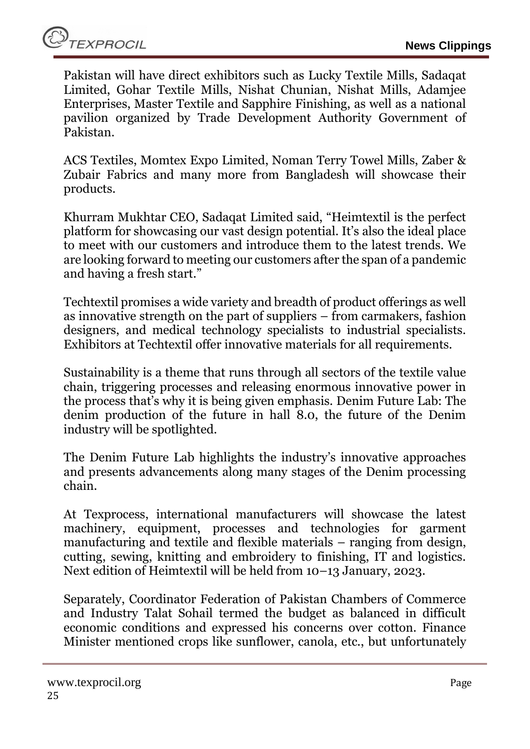Pakistan will have direct exhibitors such as Lucky Textile Mills, Sadaqat Limited, Gohar Textile Mills, Nishat Chunian, Nishat Mills, Adamjee Enterprises, Master Textile and Sapphire Finishing, as well as a national pavilion organized by Trade Development Authority Government of Pakistan.

ACS Textiles, Momtex Expo Limited, Noman Terry Towel Mills, Zaber & Zubair Fabrics and many more from Bangladesh will showcase their products.

Khurram Mukhtar CEO, Sadaqat Limited said, "Heimtextil is the perfect platform for showcasing our vast design potential. It's also the ideal place to meet with our customers and introduce them to the latest trends. We are looking forward to meeting our customers after the span of a pandemic and having a fresh start."

Techtextil promises a wide variety and breadth of product offerings as well as innovative strength on the part of suppliers – from carmakers, fashion designers, and medical technology specialists to industrial specialists. Exhibitors at Techtextil offer innovative materials for all requirements.

Sustainability is a theme that runs through all sectors of the textile value chain, triggering processes and releasing enormous innovative power in the process that's why it is being given emphasis. Denim Future Lab: The denim production of the future in hall 8.0, the future of the Denim industry will be spotlighted.

The Denim Future Lab highlights the industry's innovative approaches and presents advancements along many stages of the Denim processing chain.

At Texprocess, international manufacturers will showcase the latest machinery, equipment, processes and technologies for garment manufacturing and textile and flexible materials – ranging from design, cutting, sewing, knitting and embroidery to finishing, IT and logistics. Next edition of Heimtextil will be held from 10–13 January, 2023.

Separately, Coordinator Federation of Pakistan Chambers of Commerce and Industry Talat Sohail termed the budget as balanced in difficult economic conditions and expressed his concerns over cotton. Finance Minister mentioned crops like sunflower, canola, etc., but unfortunately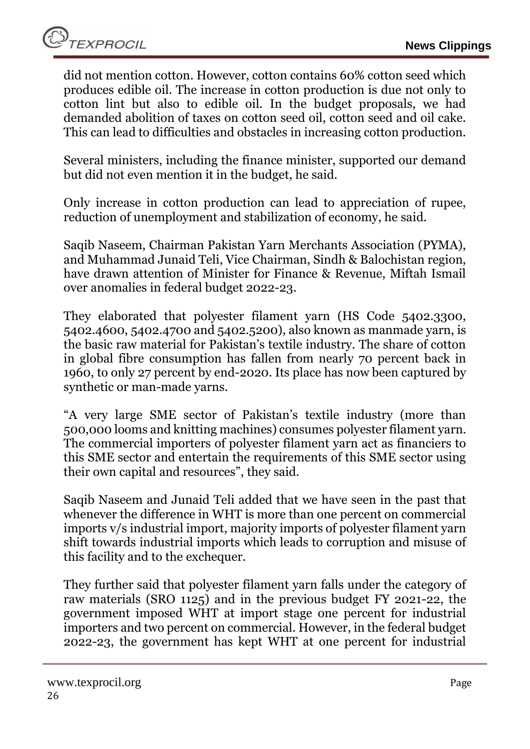did not mention cotton. However, cotton contains 60% cotton seed which produces edible oil. The increase in cotton production is due not only to cotton lint but also to edible oil. In the budget proposals, we had demanded abolition of taxes on cotton seed oil, cotton seed and oil cake. This can lead to difficulties and obstacles in increasing cotton production.

Several ministers, including the finance minister, supported our demand but did not even mention it in the budget, he said.

Only increase in cotton production can lead to appreciation of rupee, reduction of unemployment and stabilization of economy, he said.

Saqib Naseem, Chairman Pakistan Yarn Merchants Association (PYMA), and Muhammad Junaid Teli, Vice Chairman, Sindh & Balochistan region, have drawn attention of Minister for Finance & Revenue, Miftah Ismail over anomalies in federal budget 2022-23.

They elaborated that polyester filament yarn (HS Code 5402.3300, 5402.4600, 5402.4700 and 5402.5200), also known as manmade yarn, is the basic raw material for Pakistan's textile industry. The share of cotton in global fibre consumption has fallen from nearly 70 percent back in 1960, to only 27 percent by end-2020. Its place has now been captured by synthetic or man-made yarns.

"A very large SME sector of Pakistan's textile industry (more than 500,000 looms and knitting machines) consumes polyester filament yarn. The commercial importers of polyester filament yarn act as financiers to this SME sector and entertain the requirements of this SME sector using their own capital and resources", they said.

Saqib Naseem and Junaid Teli added that we have seen in the past that whenever the difference in WHT is more than one percent on commercial imports v/s industrial import, majority imports of polyester filament yarn shift towards industrial imports which leads to corruption and misuse of this facility and to the exchequer.

They further said that polyester filament yarn falls under the category of raw materials (SRO 1125) and in the previous budget FY 2021-22, the government imposed WHT at import stage one percent for industrial importers and two percent on commercial. However, in the federal budget 2022-23, the government has kept WHT at one percent for industrial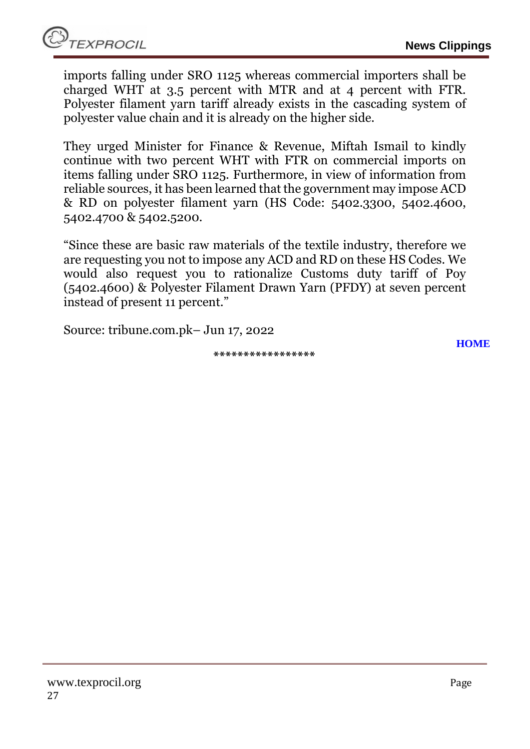imports falling under SRO 1125 whereas commercial importers shall be charged WHT at 3.5 percent with MTR and at 4 percent with FTR. Polyester filament yarn tariff already exists in the cascading system of polyester value chain and it is already on the higher side.

They urged Minister for Finance & Revenue, Miftah Ismail to kindly continue with two percent WHT with FTR on commercial imports on items falling under SRO 1125. Furthermore, in view of information from reliable sources, it has been learned that the government may impose ACD & RD on polyester filament yarn (HS Code: 5402.3300, 5402.4600, 5402.4700 & 5402.5200.

"Since these are basic raw materials of the textile industry, therefore we are requesting you not to impose any ACD and RD on these HS Codes. We would also request you to rationalize Customs duty tariff of Poy (5402.4600) & Polyester Filament Drawn Yarn (PFDY) at seven percent instead of present 11 percent."

Source: tribune.com.pk– Jun 17, 2022

**\*\*\*\*\*\*\*\*\*\*\*\*\*\*\*\*\***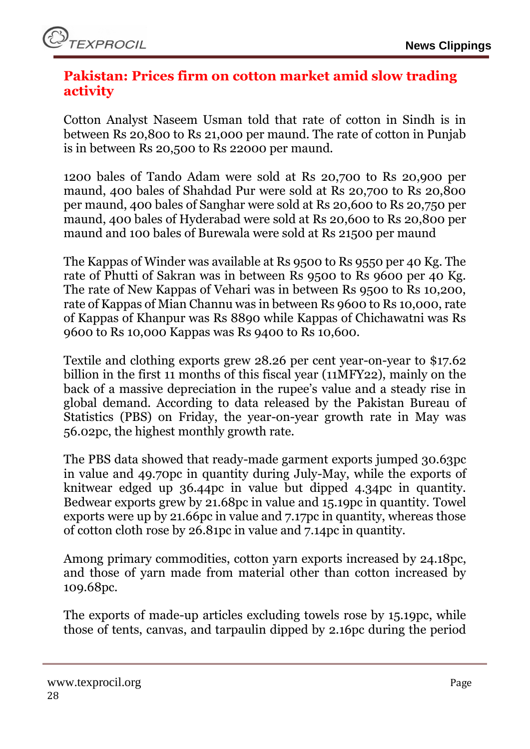#### <span id="page-27-0"></span>**Pakistan: Prices firm on cotton market amid slow trading activity**

Cotton Analyst Naseem Usman told that rate of cotton in Sindh is in between Rs 20,800 to Rs 21,000 per maund. The rate of cotton in Punjab is in between Rs 20,500 to Rs 22000 per maund.

1200 bales of Tando Adam were sold at Rs 20,700 to Rs 20,900 per maund, 400 bales of Shahdad Pur were sold at Rs 20,700 to Rs 20,800 per maund, 400 bales of Sanghar were sold at Rs 20,600 to Rs 20,750 per maund, 400 bales of Hyderabad were sold at Rs 20,600 to Rs 20,800 per maund and 100 bales of Burewala were sold at Rs 21500 per maund

The Kappas of Winder was available at Rs 9500 to Rs 9550 per 40 Kg. The rate of Phutti of Sakran was in between Rs 9500 to Rs 9600 per 40 Kg. The rate of New Kappas of Vehari was in between Rs 9500 to Rs 10,200, rate of Kappas of Mian Channu was in between Rs 9600 to Rs 10,000, rate of Kappas of Khanpur was Rs 8890 while Kappas of Chichawatni was Rs 9600 to Rs 10,000 Kappas was Rs 9400 to Rs 10,600.

Textile and clothing exports grew 28.26 per cent year-on-year to \$17.62 billion in the first 11 months of this fiscal year (11MFY22), mainly on the back of a massive depreciation in the rupee's value and a steady rise in global demand. According to data released by the Pakistan Bureau of Statistics (PBS) on Friday, the year-on-year growth rate in May was 56.02pc, the highest monthly growth rate.

The PBS data showed that ready-made garment exports jumped 30.63pc in value and 49.70pc in quantity during July-May, while the exports of knitwear edged up 36.44pc in value but dipped 4.34pc in quantity. Bedwear exports grew by 21.68pc in value and 15.19pc in quantity. Towel exports were up by 21.66pc in value and 7.17pc in quantity, whereas those of cotton cloth rose by 26.81pc in value and 7.14pc in quantity.

Among primary commodities, cotton yarn exports increased by 24.18pc, and those of yarn made from material other than cotton increased by 109.68pc.

The exports of made-up articles excluding towels rose by 15.19pc, while those of tents, canvas, and tarpaulin dipped by 2.16pc during the period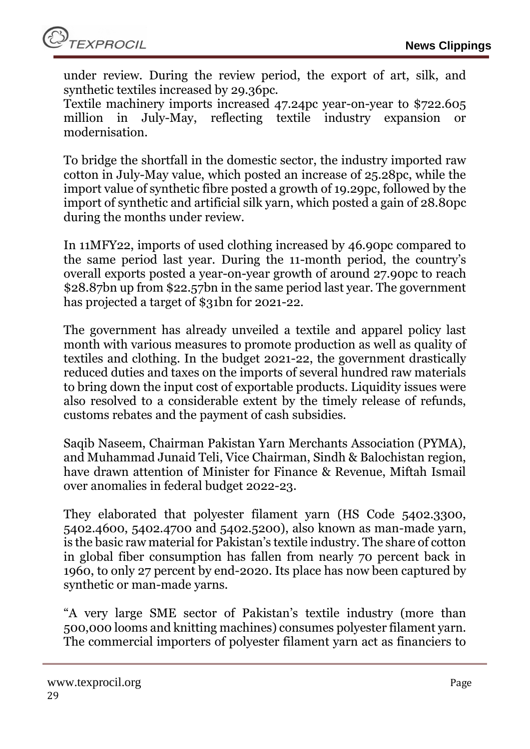TEXPROCIL

under review. During the review period, the export of art, silk, and synthetic textiles increased by 29.36pc.

Textile machinery imports increased 47.24pc year-on-year to \$722.605 million in July-May, reflecting textile industry expansion or modernisation.

To bridge the shortfall in the domestic sector, the industry imported raw cotton in July-May value, which posted an increase of 25.28pc, while the import value of synthetic fibre posted a growth of 19.29pc, followed by the import of synthetic and artificial silk yarn, which posted a gain of 28.80pc during the months under review.

In 11MFY22, imports of used clothing increased by 46.90pc compared to the same period last year. During the 11-month period, the country's overall exports posted a year-on-year growth of around 27.90pc to reach \$28.87bn up from \$22.57bn in the same period last year. The government has projected a target of \$31bn for 2021-22.

The government has already unveiled a textile and apparel policy last month with various measures to promote production as well as quality of textiles and clothing. In the budget 2021-22, the government drastically reduced duties and taxes on the imports of several hundred raw materials to bring down the input cost of exportable products. Liquidity issues were also resolved to a considerable extent by the timely release of refunds, customs rebates and the payment of cash subsidies.

Saqib Naseem, Chairman Pakistan Yarn Merchants Association (PYMA), and Muhammad Junaid Teli, Vice Chairman, Sindh & Balochistan region, have drawn attention of Minister for Finance & Revenue, Miftah Ismail over anomalies in federal budget 2022-23.

They elaborated that polyester filament yarn (HS Code 5402.3300, 5402.4600, 5402.4700 and 5402.5200), also known as man-made yarn, is the basic raw material for Pakistan's textile industry. The share of cotton in global fiber consumption has fallen from nearly 70 percent back in 1960, to only 27 percent by end-2020. Its place has now been captured by synthetic or man-made yarns.

"A very large SME sector of Pakistan's textile industry (more than 500,000 looms and knitting machines) consumes polyester filament yarn. The commercial importers of polyester filament yarn act as financiers to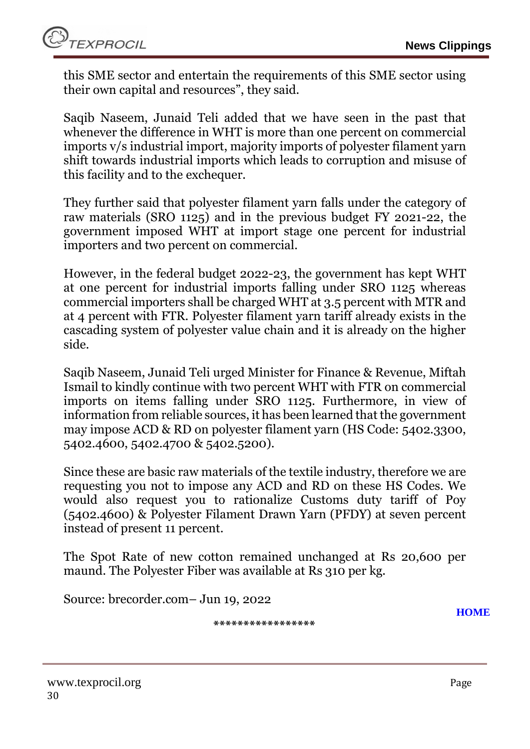this SME sector and entertain the requirements of this SME sector using their own capital and resources", they said.

Saqib Naseem, Junaid Teli added that we have seen in the past that whenever the difference in WHT is more than one percent on commercial imports v/s industrial import, majority imports of polyester filament yarn shift towards industrial imports which leads to corruption and misuse of this facility and to the exchequer.

They further said that polyester filament yarn falls under the category of raw materials (SRO 1125) and in the previous budget FY 2021-22, the government imposed WHT at import stage one percent for industrial importers and two percent on commercial.

However, in the federal budget 2022-23, the government has kept WHT at one percent for industrial imports falling under SRO 1125 whereas commercial importers shall be charged WHT at 3.5 percent with MTR and at 4 percent with FTR. Polyester filament yarn tariff already exists in the cascading system of polyester value chain and it is already on the higher side.

Saqib Naseem, Junaid Teli urged Minister for Finance & Revenue, Miftah Ismail to kindly continue with two percent WHT with FTR on commercial imports on items falling under SRO 1125. Furthermore, in view of information from reliable sources, it has been learned that the government may impose ACD & RD on polyester filament yarn (HS Code: 5402.3300, 5402.4600, 5402.4700 & 5402.5200).

Since these are basic raw materials of the textile industry, therefore we are requesting you not to impose any ACD and RD on these HS Codes. We would also request you to rationalize Customs duty tariff of Poy (5402.4600) & Polyester Filament Drawn Yarn (PFDY) at seven percent instead of present 11 percent.

The Spot Rate of new cotton remained unchanged at Rs 20,600 per maund. The Polyester Fiber was available at Rs 310 per kg.

Source: brecorder.com– Jun 19, 2022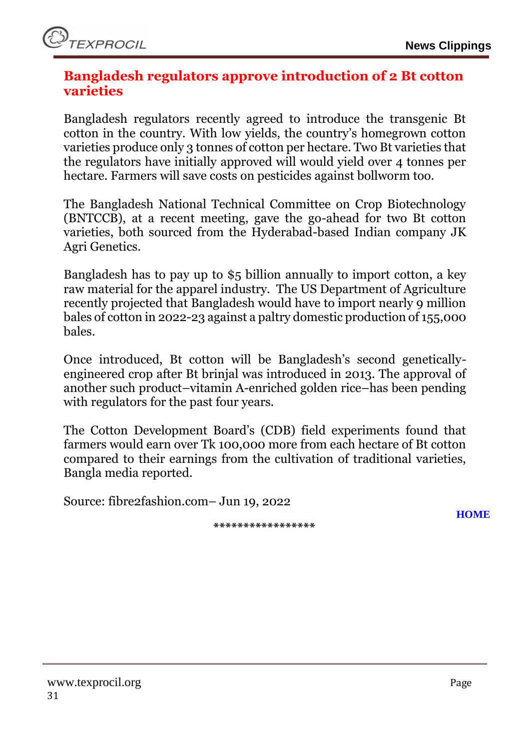#### <span id="page-30-0"></span>**Bangladesh regulators approve introduction of 2 Bt cotton varieties**

Bangladesh regulators recently agreed to introduce the transgenic Bt cotton in the country. With low yields, the country's homegrown cotton varieties produce only 3 tonnes of cotton per hectare. Two Bt varieties that the regulators have initially approved will would yield over 4 tonnes per hectare. Farmers will save costs on pesticides against bollworm too.

The Bangladesh National Technical Committee on Crop Biotechnology (BNTCCB), at a recent meeting, gave the go-ahead for two Bt cotton varieties, both sourced from the Hyderabad-based Indian company JK Agri Genetics.

Bangladesh has to pay up to \$5 billion annually to import cotton, a key raw material for the apparel industry. The US Department of Agriculture recently projected that Bangladesh would have to import nearly 9 million bales of cotton in 2022-23 against a paltry domestic production of 155,000 bales.

Once introduced, Bt cotton will be Bangladesh's second geneticallyengineered crop after Bt brinjal was introduced in 2013. The approval of another such product–vitamin A-enriched golden rice–has been pending with regulators for the past four years.

The Cotton Development Board's (CDB) field experiments found that farmers would earn over Tk 100,000 more from each hectare of Bt cotton compared to their earnings from the cultivation of traditional varieties, Bangla media reported.

Source: fibre2fashion.com– Jun 19, 2022

**\*\*\*\*\*\*\*\*\*\*\*\*\*\*\*\*\***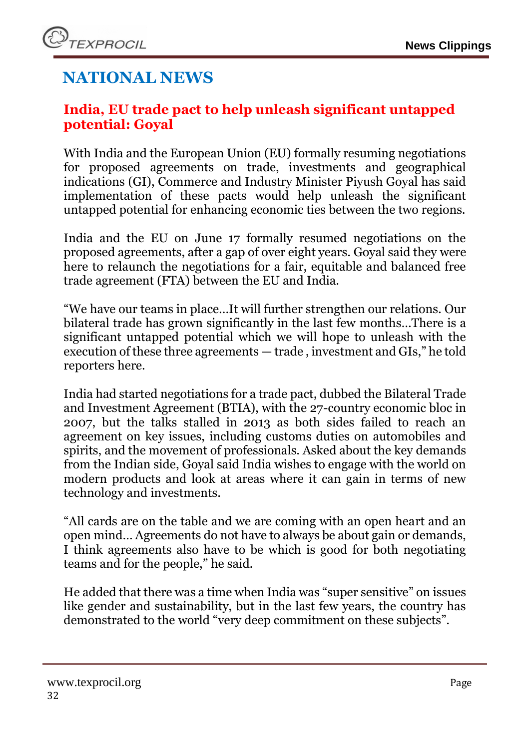# **NATIONAL NEWS**

### <span id="page-31-0"></span>**India, EU trade pact to help unleash significant untapped potential: Goyal**

With India and the European Union (EU) formally resuming negotiations for proposed agreements on trade, investments and geographical indications (GI), Commerce and Industry Minister Piyush Goyal has said implementation of these pacts would help unleash the significant untapped potential for enhancing economic ties between the two regions.

India and the EU on June 17 formally resumed negotiations on the proposed agreements, after a gap of over eight years. Goyal said they were here to relaunch the negotiations for a fair, equitable and balanced free trade agreement (FTA) between the EU and India.

"We have our teams in place…It will further strengthen our relations. Our bilateral trade has grown significantly in the last few months…There is a significant untapped potential which we will hope to unleash with the execution of these three agreements — trade , investment and GIs," he told reporters here.

India had started negotiations for a trade pact, dubbed the Bilateral Trade and Investment Agreement (BTIA), with the 27-country economic bloc in 2007, but the talks stalled in 2013 as both sides failed to reach an agreement on key issues, including customs duties on automobiles and spirits, and the movement of professionals. Asked about the key demands from the Indian side, Goyal said India wishes to engage with the world on modern products and look at areas where it can gain in terms of new technology and investments.

"All cards are on the table and we are coming with an open heart and an open mind… Agreements do not have to always be about gain or demands, I think agreements also have to be which is good for both negotiating teams and for the people," he said.

He added that there was a time when India was "super sensitive" on issues like gender and sustainability, but in the last few years, the country has demonstrated to the world "very deep commitment on these subjects".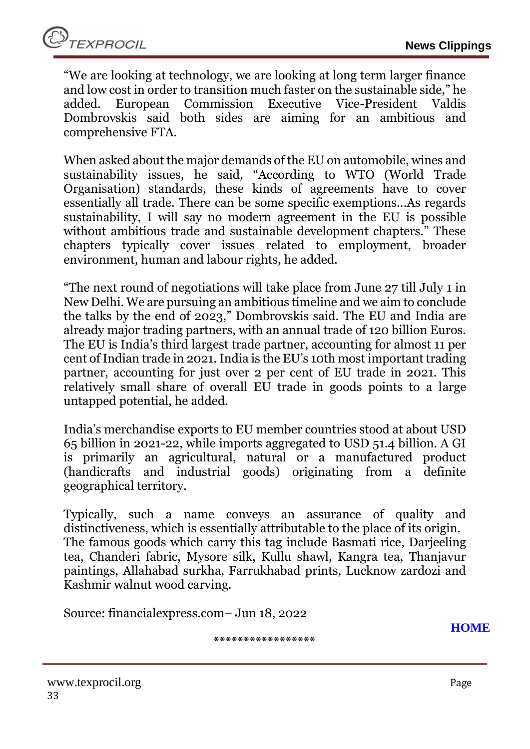"We are looking at technology, we are looking at long term larger finance and low cost in order to transition much faster on the sustainable side," he added. European Commission Executive Vice-President Valdis Dombrovskis said both sides are aiming for an ambitious and comprehensive FTA.

When asked about the major demands of the EU on automobile, wines and sustainability issues, he said, "According to WTO (World Trade Organisation) standards, these kinds of agreements have to cover essentially all trade. There can be some specific exemptions…As regards sustainability, I will say no modern agreement in the EU is possible without ambitious trade and sustainable development chapters." These chapters typically cover issues related to employment, broader environment, human and labour rights, he added.

"The next round of negotiations will take place from June 27 till July 1 in New Delhi. We are pursuing an ambitious timeline and we aim to conclude the talks by the end of 2023," Dombrovskis said. The EU and India are already major trading partners, with an annual trade of 120 billion Euros. The EU is India's third largest trade partner, accounting for almost 11 per cent of Indian trade in 2021. India is the EU's 10th most important trading partner, accounting for just over 2 per cent of EU trade in 2021. This relatively small share of overall EU trade in goods points to a large untapped potential, he added.

India's merchandise exports to EU member countries stood at about USD 65 billion in 2021-22, while imports aggregated to USD 51.4 billion. A GI is primarily an agricultural, natural or a manufactured product (handicrafts and industrial goods) originating from a definite geographical territory.

Typically, such a name conveys an assurance of quality and distinctiveness, which is essentially attributable to the place of its origin. The famous goods which carry this tag include Basmati rice, Darjeeling tea, Chanderi fabric, Mysore silk, Kullu shawl, Kangra tea, Thanjavur paintings, Allahabad surkha, Farrukhabad prints, Lucknow zardozi and Kashmir walnut wood carving.

Source: financialexpress.com– Jun 18, 2022

**\*\*\*\*\*\*\*\*\*\*\*\*\*\*\*\*\***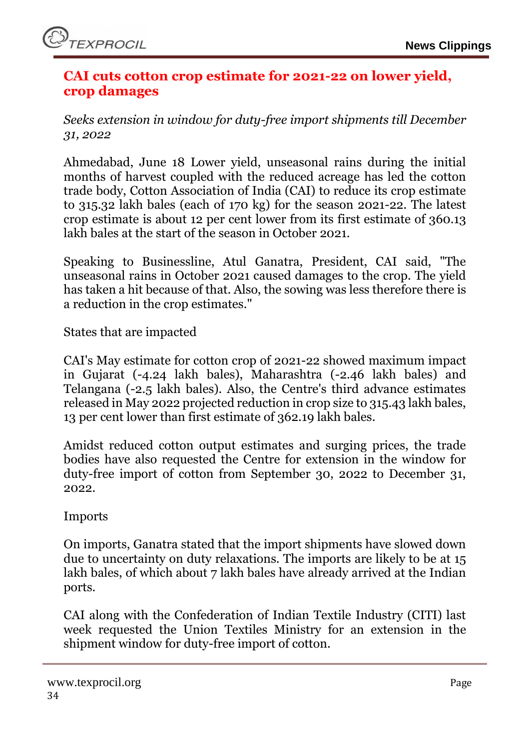#### <span id="page-33-0"></span>**CAI cuts cotton crop estimate for 2021-22 on lower yield, crop damages**

*Seeks extension in window for duty-free import shipments till December 31, 2022*

Ahmedabad, June 18 Lower yield, unseasonal rains during the initial months of harvest coupled with the reduced acreage has led the cotton trade body, Cotton Association of India (CAI) to reduce its crop estimate to 315.32 lakh bales (each of 170 kg) for the season 2021-22. The latest crop estimate is about 12 per cent lower from its first estimate of 360.13 lakh bales at the start of the season in October 2021.

Speaking to Businessline, Atul Ganatra, President, CAI said, "The unseasonal rains in October 2021 caused damages to the crop. The yield has taken a hit because of that. Also, the sowing was less therefore there is a reduction in the crop estimates."

States that are impacted

CAI's May estimate for cotton crop of 2021-22 showed maximum impact in Gujarat (-4.24 lakh bales), Maharashtra (-2.46 lakh bales) and Telangana (-2.5 lakh bales). Also, the Centre's third advance estimates released in May 2022 projected reduction in crop size to 315.43 lakh bales, 13 per cent lower than first estimate of 362.19 lakh bales.

Amidst reduced cotton output estimates and surging prices, the trade bodies have also requested the Centre for extension in the window for duty-free import of cotton from September 30, 2022 to December 31, 2022.

Imports

On imports, Ganatra stated that the import shipments have slowed down due to uncertainty on duty relaxations. The imports are likely to be at 15 lakh bales, of which about 7 lakh bales have already arrived at the Indian ports.

CAI along with the Confederation of Indian Textile Industry (CITI) last week requested the Union Textiles Ministry for an extension in the shipment window for duty-free import of cotton.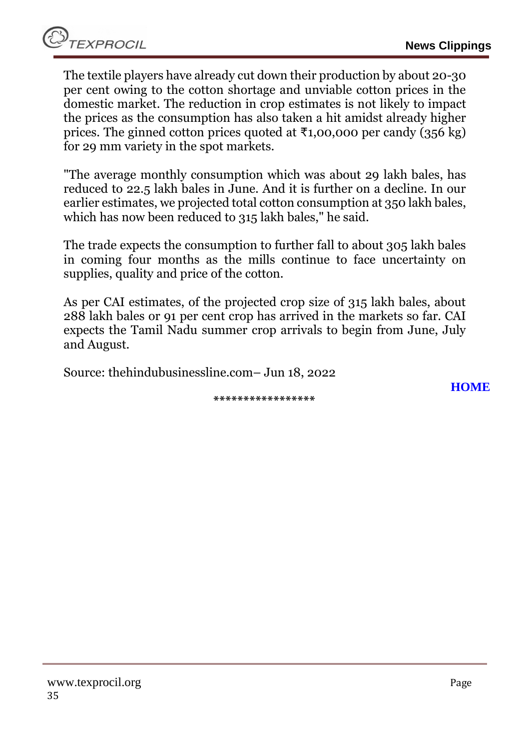The textile players have already cut down their production by about 20-30 per cent owing to the cotton shortage and unviable cotton prices in the domestic market. The reduction in crop estimates is not likely to impact the prices as the consumption has also taken a hit amidst already higher prices. The ginned cotton prices quoted at  $\overline{\tau}1,00,000$  per candy (356 kg) for 29 mm variety in the spot markets.

"The average monthly consumption which was about 29 lakh bales, has reduced to 22.5 lakh bales in June. And it is further on a decline. In our earlier estimates, we projected total cotton consumption at 350 lakh bales, which has now been reduced to 315 lakh bales," he said.

The trade expects the consumption to further fall to about 305 lakh bales in coming four months as the mills continue to face uncertainty on supplies, quality and price of the cotton.

As per CAI estimates, of the projected crop size of 315 lakh bales, about 288 lakh bales or 91 per cent crop has arrived in the markets so far. CAI expects the Tamil Nadu summer crop arrivals to begin from June, July and August.

Source: thehindubusinessline.com– Jun 18, 2022

**\*\*\*\*\*\*\*\*\*\*\*\*\*\*\*\*\***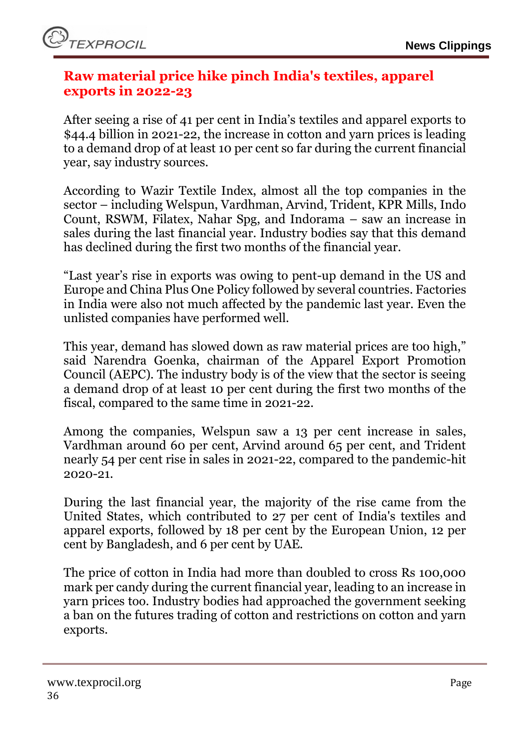#### <span id="page-35-0"></span>**Raw material price hike pinch India's textiles, apparel exports in 2022-23**

After seeing a rise of 41 per cent in India's textiles and apparel exports to \$44.4 billion in 2021-22, the increase in cotton and yarn prices is leading to a demand drop of at least 10 per cent so far during the current financial year, say industry sources.

According to Wazir Textile Index, almost all the top companies in the sector – including Welspun, Vardhman, Arvind, Trident, KPR Mills, Indo Count, RSWM, Filatex, Nahar Spg, and Indorama – saw an increase in sales during the last financial year. Industry bodies say that this demand has declined during the first two months of the financial year.

"Last year's rise in exports was owing to pent-up demand in the US and Europe and China Plus One Policy followed by several countries. Factories in India were also not much affected by the pandemic last year. Even the unlisted companies have performed well.

This year, demand has slowed down as raw material prices are too high," said Narendra Goenka, chairman of the Apparel Export Promotion Council (AEPC). The industry body is of the view that the sector is seeing a demand drop of at least 10 per cent during the first two months of the fiscal, compared to the same time in 2021-22.

Among the companies, Welspun saw a 13 per cent increase in sales, Vardhman around 60 per cent, Arvind around 65 per cent, and Trident nearly 54 per cent rise in sales in 2021-22, compared to the pandemic-hit 2020-21.

During the last financial year, the majority of the rise came from the United States, which contributed to 27 per cent of India's textiles and apparel exports, followed by 18 per cent by the European Union, 12 per cent by Bangladesh, and 6 per cent by UAE.

The price of cotton in India had more than doubled to cross Rs 100,000 mark per candy during the current financial year, leading to an increase in yarn prices too. Industry bodies had approached the government seeking a ban on the futures trading of cotton and restrictions on cotton and yarn exports.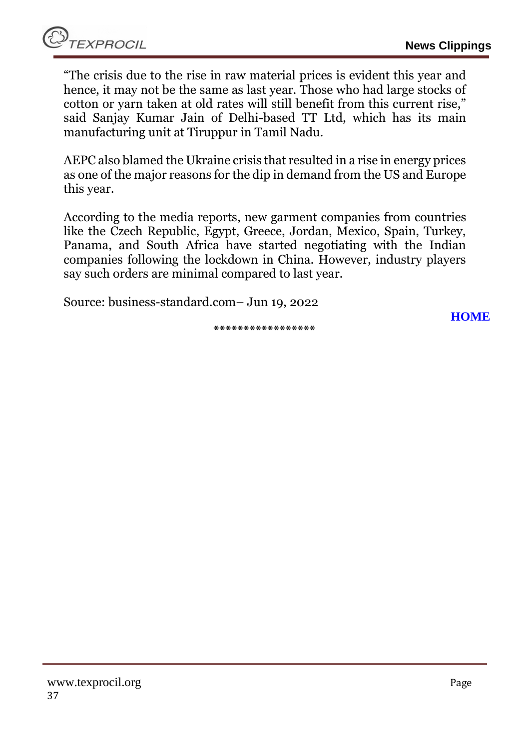"The crisis due to the rise in raw material prices is evident this year and hence, it may not be the same as last year. Those who had large stocks of cotton or yarn taken at old rates will still benefit from this current rise," said Sanjay Kumar Jain of Delhi-based TT Ltd, which has its main manufacturing unit at Tiruppur in Tamil Nadu.

AEPC also blamed the Ukraine crisis that resulted in a rise in energy prices as one of the major reasons for the dip in demand from the US and Europe this year.

According to the media reports, new garment companies from countries like the Czech Republic, Egypt, Greece, Jordan, Mexico, Spain, Turkey, Panama, and South Africa have started negotiating with the Indian companies following the lockdown in China. However, industry players say such orders are minimal compared to last year.

Source: business-standard.com– Jun 19, 2022

**\*\*\*\*\*\*\*\*\*\*\*\*\*\*\*\*\***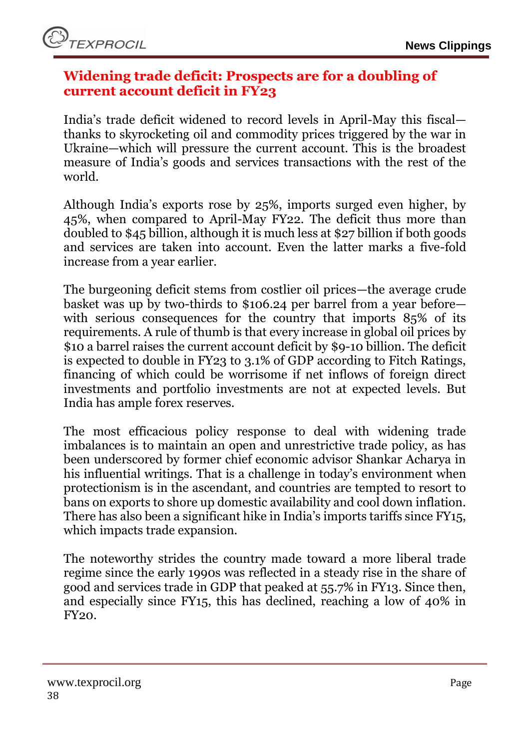#### <span id="page-37-0"></span>**Widening trade deficit: Prospects are for a doubling of current account deficit in FY23**

India's trade deficit widened to record levels in April-May this fiscal thanks to skyrocketing oil and commodity prices triggered by the war in Ukraine—which will pressure the current account. This is the broadest measure of India's goods and services transactions with the rest of the world.

Although India's exports rose by 25%, imports surged even higher, by 45%, when compared to April-May FY22. The deficit thus more than doubled to \$45 billion, although it is much less at \$27 billion if both goods and services are taken into account. Even the latter marks a five-fold increase from a year earlier.

The burgeoning deficit stems from costlier oil prices—the average crude basket was up by two-thirds to \$106.24 per barrel from a year before with serious consequences for the country that imports 85% of its requirements. A rule of thumb is that every increase in global oil prices by \$10 a barrel raises the current account deficit by \$9-10 billion. The deficit is expected to double in FY23 to 3.1% of GDP according to Fitch Ratings, financing of which could be worrisome if net inflows of foreign direct investments and portfolio investments are not at expected levels. But India has ample forex reserves.

The most efficacious policy response to deal with widening trade imbalances is to maintain an open and unrestrictive trade policy, as has been underscored by former chief economic advisor Shankar Acharya in his influential writings. That is a challenge in today's environment when protectionism is in the ascendant, and countries are tempted to resort to bans on exports to shore up domestic availability and cool down inflation. There has also been a significant hike in India's imports tariffs since FY15, which impacts trade expansion.

The noteworthy strides the country made toward a more liberal trade regime since the early 1990s was reflected in a steady rise in the share of good and services trade in GDP that peaked at 55.7% in FY13. Since then, and especially since FY15, this has declined, reaching a low of 40% in FY20.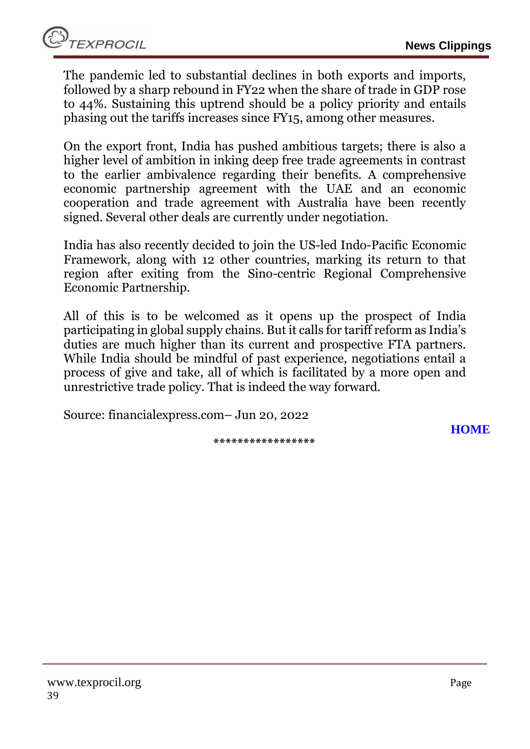The pandemic led to substantial declines in both exports and imports, followed by a sharp rebound in FY22 when the share of trade in GDP rose to 44%. Sustaining this uptrend should be a policy priority and entails phasing out the tariffs increases since FY15, among other measures.

On the export front, India has pushed ambitious targets; there is also a higher level of ambition in inking deep free trade agreements in contrast to the earlier ambivalence regarding their benefits. A comprehensive economic partnership agreement with the UAE and an economic cooperation and trade agreement with Australia have been recently signed. Several other deals are currently under negotiation.

India has also recently decided to join the US-led Indo-Pacific Economic Framework, along with 12 other countries, marking its return to that region after exiting from the Sino-centric Regional Comprehensive Economic Partnership.

All of this is to be welcomed as it opens up the prospect of India participating in global supply chains. But it calls for tariff reform as India's duties are much higher than its current and prospective FTA partners. While India should be mindful of past experience, negotiations entail a process of give and take, all of which is facilitated by a more open and unrestrictive trade policy. That is indeed the way forward.

Source: financialexpress.com– Jun 20, 2022

**\*\*\*\*\*\*\*\*\*\*\*\*\*\*\*\*\***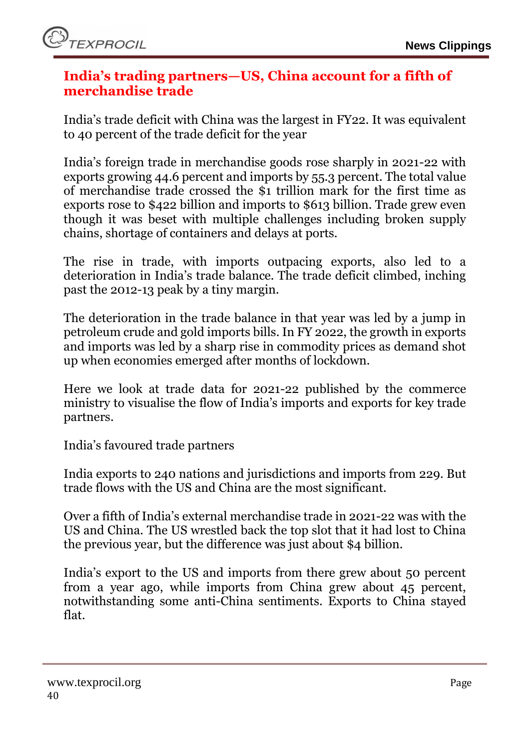#### <span id="page-39-0"></span>**India's trading partners—US, China account for a fifth of merchandise trade**

India's trade deficit with China was the largest in FY22. It was equivalent to 40 percent of the trade deficit for the year

India's foreign trade in merchandise goods rose sharply in 2021-22 with exports growing 44.6 percent and imports by 55.3 percent. The total value of merchandise trade crossed the \$1 trillion mark for the first time as exports rose to \$422 billion and imports to \$613 billion. Trade grew even though it was beset with multiple challenges including broken supply chains, shortage of containers and delays at ports.

The rise in trade, with imports outpacing exports, also led to a deterioration in India's trade balance. The trade deficit climbed, inching past the 2012-13 peak by a tiny margin.

The deterioration in the trade balance in that year was led by a jump in petroleum crude and gold imports bills. In FY 2022, the growth in exports and imports was led by a sharp rise in commodity prices as demand shot up when economies emerged after months of lockdown.

Here we look at trade data for 2021-22 published by the commerce ministry to visualise the flow of India's imports and exports for key trade partners.

India's favoured trade partners

India exports to 240 nations and jurisdictions and imports from 229. But trade flows with the US and China are the most significant.

Over a fifth of India's external merchandise trade in 2021-22 was with the US and China. The US wrestled back the top slot that it had lost to China the previous year, but the difference was just about \$4 billion.

India's export to the US and imports from there grew about 50 percent from a year ago, while imports from China grew about 45 percent, notwithstanding some anti-China sentiments. Exports to China stayed flat.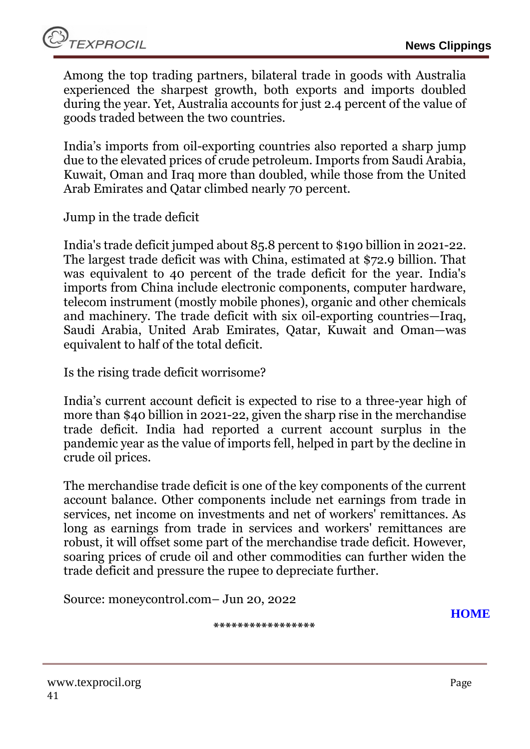

Among the top trading partners, bilateral trade in goods with Australia experienced the sharpest growth, both exports and imports doubled during the year. Yet, Australia accounts for just 2.4 percent of the value of goods traded between the two countries.

India's imports from oil-exporting countries also reported a sharp jump due to the elevated prices of crude petroleum. Imports from Saudi Arabia, Kuwait, Oman and Iraq more than doubled, while those from the United Arab Emirates and Qatar climbed nearly 70 percent.

Jump in the trade deficit

India's trade deficit jumped about 85.8 percent to \$190 billion in 2021-22. The largest trade deficit was with China, estimated at \$72.9 billion. That was equivalent to 40 percent of the trade deficit for the year. India's imports from China include electronic components, computer hardware, telecom instrument (mostly mobile phones), organic and other chemicals and machinery. The trade deficit with six oil-exporting countries—Iraq, Saudi Arabia, United Arab Emirates, Qatar, Kuwait and Oman—was equivalent to half of the total deficit.

Is the rising trade deficit worrisome?

India's current account deficit is expected to rise to a three-year high of more than \$40 billion in 2021-22, given the sharp rise in the merchandise trade deficit. India had reported a current account surplus in the pandemic year as the value of imports fell, helped in part by the decline in crude oil prices.

The merchandise trade deficit is one of the key components of the current account balance. Other components include net earnings from trade in services, net income on investments and net of workers' remittances. As long as earnings from trade in services and workers' remittances are robust, it will offset some part of the merchandise trade deficit. However, soaring prices of crude oil and other commodities can further widen the trade deficit and pressure the rupee to depreciate further.

Source: moneycontrol.com– Jun 20, 2022

**[HOME](#page-0-0)**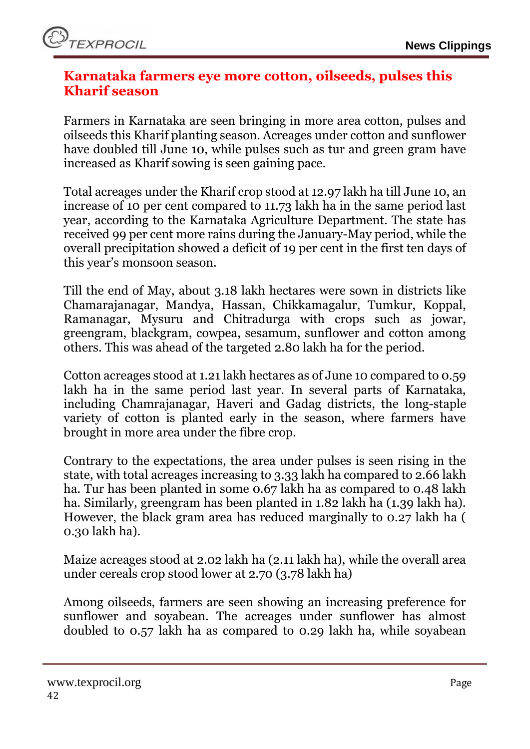#### <span id="page-41-0"></span>**Karnataka farmers eye more cotton, oilseeds, pulses this Kharif season**

Farmers in Karnataka are seen bringing in more area cotton, pulses and oilseeds this Kharif planting season. Acreages under cotton and sunflower have doubled till June 10, while pulses such as tur and green gram have increased as Kharif sowing is seen gaining pace.

Total acreages under the Kharif crop stood at 12.97 lakh ha till June 10, an increase of 10 per cent compared to 11.73 lakh ha in the same period last year, according to the Karnataka Agriculture Department. The state has received 99 per cent more rains during the January-May period, while the overall precipitation showed a deficit of 19 per cent in the first ten days of this year's monsoon season.

Till the end of May, about 3.18 lakh hectares were sown in districts like Chamarajanagar, Mandya, Hassan, Chikkamagalur, Tumkur, Koppal, Ramanagar, Mysuru and Chitradurga with crops such as jowar, greengram, blackgram, cowpea, sesamum, sunflower and cotton among others. This was ahead of the targeted 2.80 lakh ha for the period.

Cotton acreages stood at 1.21 lakh hectares as of June 10 compared to 0.59 lakh ha in the same period last year. In several parts of Karnataka, including Chamrajanagar, Haveri and Gadag districts, the long-staple variety of cotton is planted early in the season, where farmers have brought in more area under the fibre crop.

Contrary to the expectations, the area under pulses is seen rising in the state, with total acreages increasing to 3.33 lakh ha compared to 2.66 lakh ha. Tur has been planted in some 0.67 lakh ha as compared to 0.48 lakh ha. Similarly, greengram has been planted in 1.82 lakh ha (1.39 lakh ha). However, the black gram area has reduced marginally to 0.27 lakh ha ( 0.30 lakh ha).

Maize acreages stood at 2.02 lakh ha (2.11 lakh ha), while the overall area under cereals crop stood lower at 2.70 (3.78 lakh ha)

Among oilseeds, farmers are seen showing an increasing preference for sunflower and soyabean. The acreages under sunflower has almost doubled to 0.57 lakh ha as compared to 0.29 lakh ha, while soyabean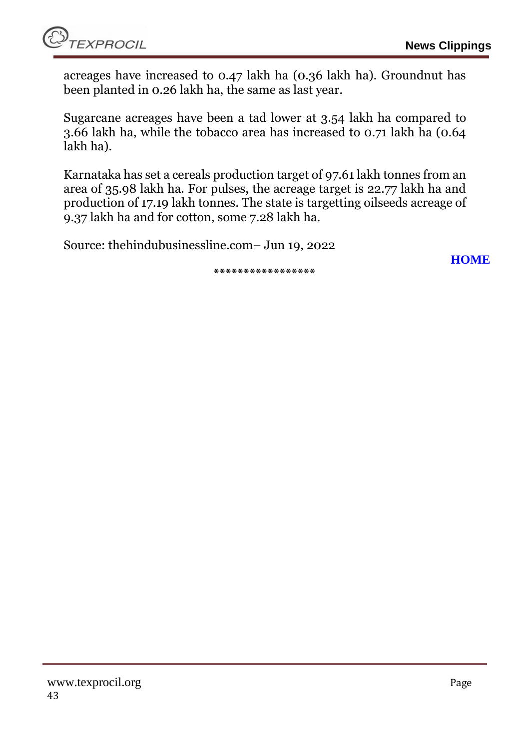**[HOME](#page-0-0)**

acreages have increased to 0.47 lakh ha (0.36 lakh ha). Groundnut has been planted in 0.26 lakh ha, the same as last year.

Sugarcane acreages have been a tad lower at 3.54 lakh ha compared to 3.66 lakh ha, while the tobacco area has increased to 0.71 lakh ha (0.64 lakh ha).

Karnataka has set a cereals production target of 97.61 lakh tonnes from an area of 35.98 lakh ha. For pulses, the acreage target is 22.77 lakh ha and production of 17.19 lakh tonnes. The state is targetting oilseeds acreage of 9.37 lakh ha and for cotton, some 7.28 lakh ha.

Source: thehindubusinessline.com– Jun 19, 2022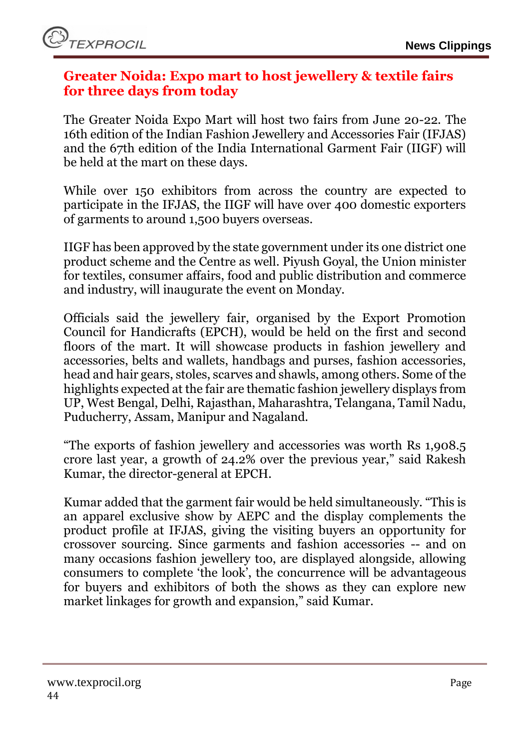#### <span id="page-43-0"></span>**Greater Noida: Expo mart to host jewellery & textile fairs for three days from today**

The Greater Noida Expo Mart will host two fairs from June 20-22. The 16th edition of the Indian Fashion Jewellery and Accessories Fair (IFJAS) and the 67th edition of the India International Garment Fair (IIGF) will be held at the mart on these days.

While over 150 exhibitors from across the country are expected to participate in the IFJAS, the IIGF will have over 400 domestic exporters of garments to around 1,500 buyers overseas.

IIGF has been approved by the state government under its one district one product scheme and the Centre as well. Piyush Goyal, the Union minister for textiles, consumer affairs, food and public distribution and commerce and industry, will inaugurate the event on Monday.

Officials said the jewellery fair, organised by the Export Promotion Council for Handicrafts (EPCH), would be held on the first and second floors of the mart. It will showcase products in fashion jewellery and accessories, belts and wallets, handbags and purses, fashion accessories, head and hair gears, stoles, scarves and shawls, among others. Some of the highlights expected at the fair are thematic fashion jewellery displays from UP, West Bengal, Delhi, Rajasthan, Maharashtra, Telangana, Tamil Nadu, Puducherry, Assam, Manipur and Nagaland.

"The exports of fashion jewellery and accessories was worth Rs 1,908.5 crore last year, a growth of 24.2% over the previous year," said Rakesh Kumar, the director-general at EPCH.

Kumar added that the garment fair would be held simultaneously. "This is an apparel exclusive show by AEPC and the display complements the product profile at IFJAS, giving the visiting buyers an opportunity for crossover sourcing. Since garments and fashion accessories -- and on many occasions fashion jewellery too, are displayed alongside, allowing consumers to complete 'the look', the concurrence will be advantageous for buyers and exhibitors of both the shows as they can explore new market linkages for growth and expansion," said Kumar.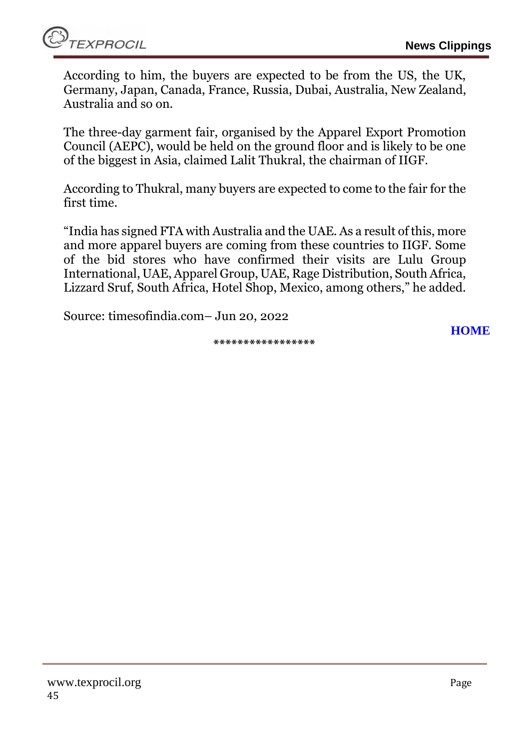According to him, the buyers are expected to be from the US, the UK, Germany, Japan, Canada, France, Russia, Dubai, Australia, New Zealand, Australia and so on.

The three-day garment fair, organised by the Apparel Export Promotion Council (AEPC), would be held on the ground floor and is likely to be one of the biggest in Asia, claimed Lalit Thukral, the chairman of IIGF.

According to Thukral, many buyers are expected to come to the fair for the first time.

"India has signed FTA with Australia and the UAE. As a result of this, more and more apparel buyers are coming from these countries to IIGF. Some of the bid stores who have confirmed their visits are Lulu Group International, UAE, Apparel Group, UAE, Rage Distribution, South Africa, Lizzard Sruf, South Africa, Hotel Shop, Mexico, among others," he added.

Source: timesofindia.com– Jun 20, 2022

**\*\*\*\*\*\*\*\*\*\*\*\*\*\*\*\*\***